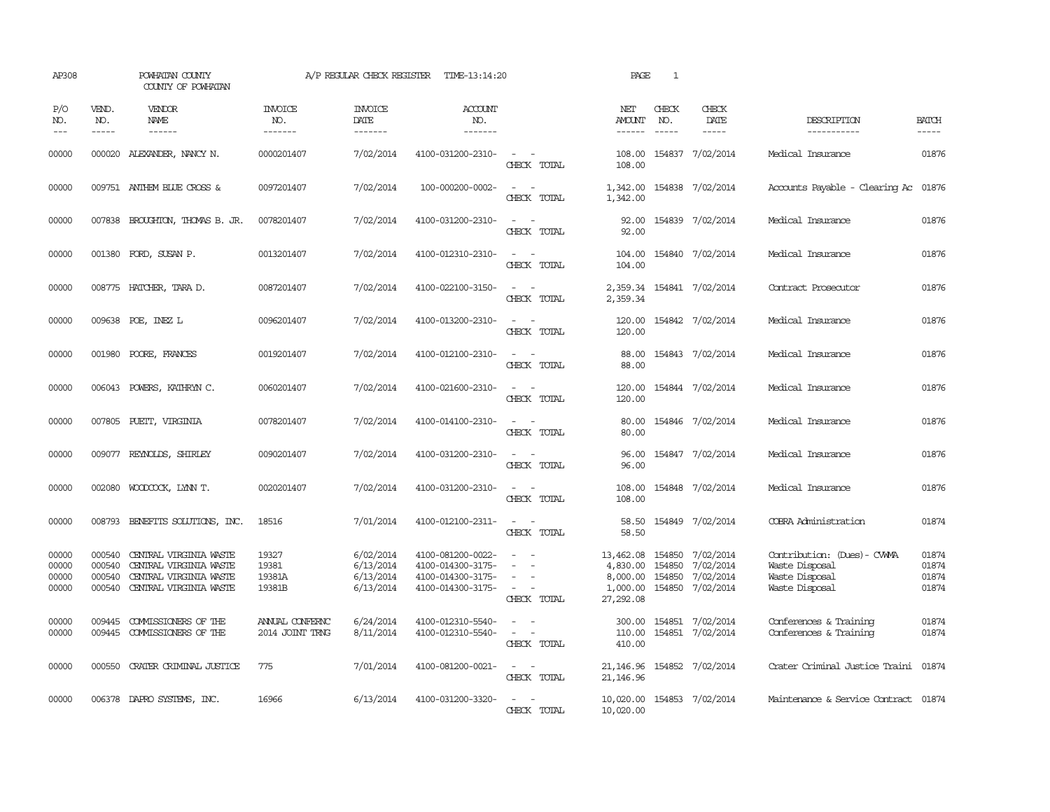| AP308                            |                                      | POWHATAN COUNTY<br>COUNTY OF POWHATAN                                                                |                                    | A/P REGULAR CHECK REGISTER                       | TIME-13:14:20                                                                    |                                                                                                                             | PAGE                                                       | $\mathbf{1}$                  |                                                                |                                                                                   |                                  |
|----------------------------------|--------------------------------------|------------------------------------------------------------------------------------------------------|------------------------------------|--------------------------------------------------|----------------------------------------------------------------------------------|-----------------------------------------------------------------------------------------------------------------------------|------------------------------------------------------------|-------------------------------|----------------------------------------------------------------|-----------------------------------------------------------------------------------|----------------------------------|
| P/O<br>NO.<br>$---$              | VEND.<br>NO.<br>$\frac{1}{2}$        | VENDOR<br>NAME<br>------                                                                             | <b>INVOICE</b><br>NO.<br>--------  | <b>INVOICE</b><br>DATE<br>-------                | <b>ACCOUNT</b><br>NO.<br>-------                                                 |                                                                                                                             | NET<br><b>AMOUNT</b><br>$- - - - - -$                      | CHECK<br>NO.<br>$\frac{1}{2}$ | CHECK<br>DATE<br>$- - - - -$                                   | DESCRIPTION<br>-----------                                                        | <b>BATCH</b><br>$- - - - -$      |
| 00000                            |                                      | 000020 ALEXANDER, NANCY N.                                                                           | 0000201407                         | 7/02/2014                                        | 4100-031200-2310-                                                                | $\sim$ $ \sim$<br>CHECK TOTAL                                                                                               | 108.00<br>108.00                                           |                               | 154837 7/02/2014                                               | Medical Insurance                                                                 | 01876                            |
| 00000                            |                                      | 009751 ANTHEM BLUE CROSS &                                                                           | 0097201407                         | 7/02/2014                                        | 100-000200-0002-                                                                 | $ -$<br>CHECK TOTAL                                                                                                         | 1,342.00                                                   |                               | 1,342.00 154838 7/02/2014                                      | Accounts Payable - Clearing Ac 01876                                              |                                  |
| 00000                            |                                      | 007838 BROUGHTON, THOMAS B. JR.                                                                      | 0078201407                         | 7/02/2014                                        | 4100-031200-2310-                                                                | $\sim$ $\sim$<br>CHECK TOTAL                                                                                                | 92.00<br>92.00                                             |                               | 154839 7/02/2014                                               | Medical Insurance                                                                 | 01876                            |
| 00000                            |                                      | 001380 FORD, SUSAN P.                                                                                | 0013201407                         | 7/02/2014                                        | 4100-012310-2310-                                                                | $\sim$ $\sim$<br>CHECK TOTAL                                                                                                | 104.00<br>104.00                                           |                               | 154840 7/02/2014                                               | Medical Insurance                                                                 | 01876                            |
| 00000                            |                                      | 008775 HATCHER, TARA D.                                                                              | 0087201407                         | 7/02/2014                                        | 4100-022100-3150-                                                                | $\sim$ $ \sim$<br>CHECK TOTAL                                                                                               | 2,359.34                                                   |                               | 2,359.34 154841 7/02/2014                                      | Contract Prosecutor                                                               | 01876                            |
| 00000                            |                                      | 009638 POE, INEZ L                                                                                   | 0096201407                         | 7/02/2014                                        | 4100-013200-2310-                                                                | $\equiv$<br>$\sim$<br>CHECK TOTAL                                                                                           | 120.00<br>120.00                                           |                               | 154842 7/02/2014                                               | Medical Insurance                                                                 | 01876                            |
| 00000                            |                                      | 001980 POORE, FRANCES                                                                                | 0019201407                         | 7/02/2014                                        | 4100-012100-2310-                                                                | $\sim$<br>CHECK TOTAL                                                                                                       | 88.00<br>88.00                                             |                               | 154843 7/02/2014                                               | Medical Insurance                                                                 | 01876                            |
| 00000                            |                                      | 006043 POWERS, KATHRYN C.                                                                            | 0060201407                         | 7/02/2014                                        | 4100-021600-2310-                                                                | $\sim$ $ \sim$<br>CHECK TOTAL                                                                                               | 120.00<br>120.00                                           |                               | 154844 7/02/2014                                               | Medical Insurance                                                                 | 01876                            |
| 00000                            |                                      | 007805 PUETT, VIRGINIA                                                                               | 0078201407                         | 7/02/2014                                        | 4100-014100-2310-                                                                | $\omega_{\rm{max}}$ and $\omega_{\rm{max}}$<br>CHECK TOTAL                                                                  | 80.00<br>80.00                                             |                               | 154846 7/02/2014                                               | Medical Insurance                                                                 | 01876                            |
| 00000                            |                                      | 009077 REYNOLDS, SHIRLEY                                                                             | 0090201407                         | 7/02/2014                                        | 4100-031200-2310-                                                                | $\sim$ $\sim$<br>CHECK TOTAL                                                                                                | 96.00<br>96.00                                             |                               | 154847 7/02/2014                                               | Medical Insurance                                                                 | 01876                            |
| 00000                            |                                      | 002080 WOODCOCK, LYNN T.                                                                             | 0020201407                         | 7/02/2014                                        | 4100-031200-2310-                                                                | $\sim$ $ \sim$<br>CHECK TOTAL                                                                                               | 108.00<br>108.00                                           |                               | 154848 7/02/2014                                               | Medical Insurance                                                                 | 01876                            |
| 00000                            | 008793                               | BENEFITS SOLUTIONS, INC.                                                                             | 18516                              | 7/01/2014                                        | 4100-012100-2311-                                                                | $\sim$<br>CHECK TOTAL                                                                                                       | 58.50<br>58.50                                             |                               | 154849 7/02/2014                                               | COBRA Administration                                                              | 01874                            |
| 00000<br>00000<br>00000<br>00000 | 000540<br>000540<br>000540<br>000540 | CENTRAL VIRGINIA WASTE<br>CENTRAL VIRGINIA WASTE<br>CENTRAL VIRGINIA WASTE<br>CENTRAL VIRGINIA WASTE | 19327<br>19381<br>19381A<br>19381B | 6/02/2014<br>6/13/2014<br>6/13/2014<br>6/13/2014 | 4100-081200-0022-<br>4100-014300-3175-<br>4100-014300-3175-<br>4100-014300-3175- | $\sim$<br>$\overline{\phantom{a}}$<br>$\overline{\phantom{a}}$<br>$\sim$<br>CHECK TOTAL                                     | 13,462.08<br>4,830.00<br>8,000.00<br>1,000.00<br>27,292.08 | 154850<br>154850              | 154850 7/02/2014<br>7/02/2014<br>7/02/2014<br>154850 7/02/2014 | Contribution: (Dues) - CWMA<br>Waste Disposal<br>Waste Disposal<br>Waste Disposal | 01874<br>01874<br>01874<br>01874 |
| 00000<br>00000                   | 009445<br>009445                     | COMMISSIONERS OF THE<br>COMMISSIONERS OF THE                                                         | ANNUAL CONFERNC<br>2014 JOINT TRNG | 6/24/2014<br>8/11/2014                           | 4100-012310-5540-<br>4100-012310-5540-                                           | $\omega_{\rm{max}}$ and $\omega_{\rm{max}}$<br>$\omega_{\rm{max}}$ , $\omega_{\rm{max}}$<br>CHECK TOTAL                     | 110.00<br>410.00                                           |                               | 300.00 154851 7/02/2014<br>154851 7/02/2014                    | Conferences & Training<br>Conferences & Training                                  | 01874<br>01874                   |
| 00000                            | 000550                               | CRATER CRIMINAL JUSTICE                                                                              | 775                                | 7/01/2014                                        | 4100-081200-0021-                                                                | $\sim$ $ -$<br>CHECK TOTAL                                                                                                  | 21,146.96<br>21, 146.96                                    |                               | 154852 7/02/2014                                               | Crater Criminal Justice Traini                                                    | 01874                            |
| 00000                            |                                      | 006378 DAPRO SYSTEMS, INC.                                                                           | 16966                              | 6/13/2014                                        | 4100-031200-3320-                                                                | $\frac{1}{2} \left( \frac{1}{2} \right) \left( \frac{1}{2} \right) = \frac{1}{2} \left( \frac{1}{2} \right)$<br>CHECK TOTAL | 10,020.00 154853 7/02/2014<br>10,020.00                    |                               |                                                                | Maintenance & Service Contract 01874                                              |                                  |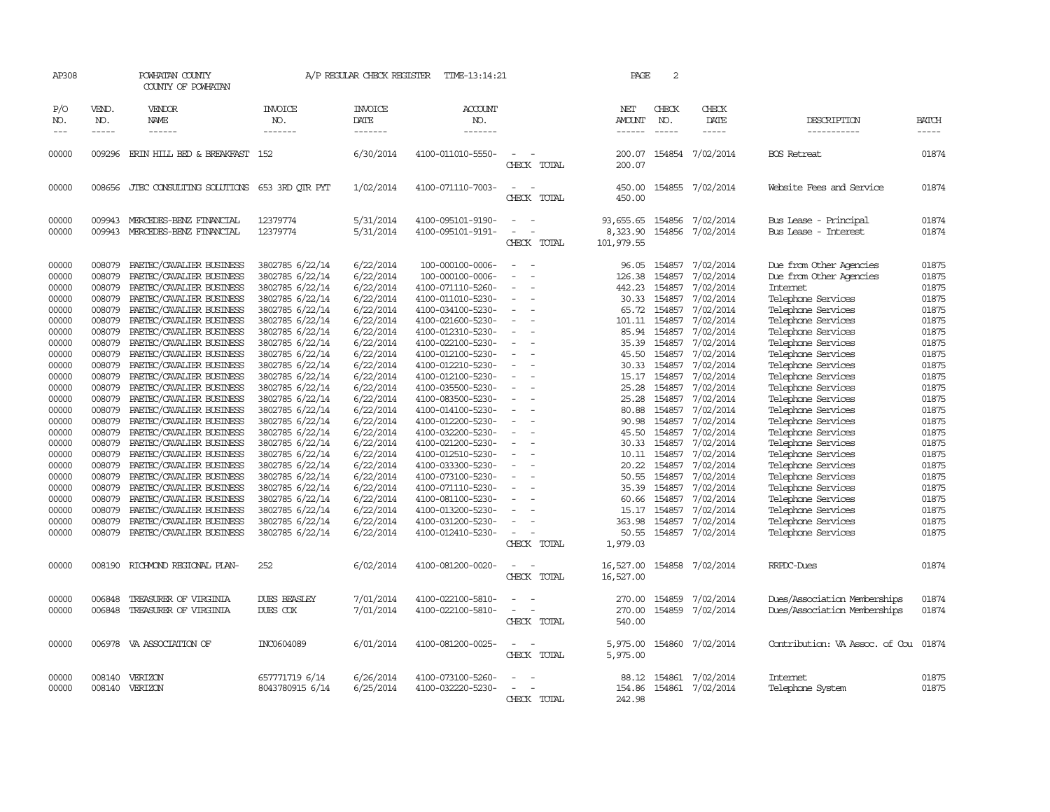| AP308               | POWHATAN COUNTY<br>COUNTY OF POWHATAN |                                                      | A/P REGULAR CHECK REGISTER<br>TIME-13:14:21 |                                    |                                        | 2<br>PAGE                          |                                       |                               |                              |                                          |                       |  |
|---------------------|---------------------------------------|------------------------------------------------------|---------------------------------------------|------------------------------------|----------------------------------------|------------------------------------|---------------------------------------|-------------------------------|------------------------------|------------------------------------------|-----------------------|--|
| P/O<br>NO.<br>$---$ | VEND.<br>NO.<br>$- - - - -$           | <b>VENDOR</b><br>NAME                                | <b>INVOICE</b><br>NO.<br>-------            | <b>INVOICE</b><br>DATE<br>-------- | <b>ACCOUNT</b><br>NO.<br>-------       |                                    | NET<br><b>AMOUNT</b><br>$- - - - - -$ | CHECK<br>NO.<br>$\frac{1}{2}$ | CHECK<br>DATE<br>$- - - - -$ | DESCRIPTION<br>-----------               | <b>BATCH</b><br>----- |  |
| 00000               | 009296                                | ERIN HILL BED & BREAKFAST                            | - 152                                       | 6/30/2014                          | 4100-011010-5550-                      |                                    | 200.07                                |                               | 154854 7/02/2014             | <b>BOS</b> Retreat                       | 01874                 |  |
|                     |                                       |                                                      |                                             |                                    |                                        | CHECK TOTAL                        | 200.07                                |                               |                              |                                          |                       |  |
| 00000               |                                       | 008656 JTEC CONSULTING SOLUTIONS 653 3RD OTR PYT     |                                             | 1/02/2014                          | 4100-071110-7003-                      | $\sim$<br>CHECK TOTAL              | 450.00<br>450.00                      |                               | 154855 7/02/2014             | Website Fees and Service                 | 01874                 |  |
| 00000               | 009943                                | MERCEDES-BENZ FINANCIAL                              | 12379774                                    | 5/31/2014                          | 4100-095101-9190-                      | $\sim$<br>$\overline{\phantom{a}}$ |                                       |                               | 93,655.65 154856 7/02/2014   | Bus Lease - Principal                    | 01874                 |  |
| 00000               | 009943                                | MERCEDES-BENZ FINANCIAL                              | 12379774                                    | 5/31/2014                          | 4100-095101-9191-                      | CHECK TOTAL                        | 8,323.90<br>101,979.55                | 154856                        | 7/02/2014                    | Bus Lease - Interest                     | 01874                 |  |
| 00000               | 008079                                | PAETEC/CAVALIER BUSINESS                             | 3802785 6/22/14                             | 6/22/2014                          | 100-000100-0006-                       | $\equiv$                           | 96.05                                 | 154857                        | 7/02/2014                    | Due from Other Agencies                  | 01875                 |  |
| 00000               | 008079                                | PAETEC/CAVALIER BUSINESS                             | 3802785 6/22/14                             | 6/22/2014                          | 100-000100-0006-                       |                                    | 126.38                                | 154857                        | 7/02/2014                    | Due from Other Agencies                  | 01875                 |  |
| 00000               | 008079                                | PAETEC/CAVALIER BUSINESS                             | 3802785 6/22/14                             | 6/22/2014                          | 4100-071110-5260-                      | $\overline{\phantom{a}}$           | 442.23                                | 154857                        | 7/02/2014                    | Internet                                 | 01875                 |  |
| 00000               | 008079                                | PAETEC/CAVALIER BUSINESS                             | 3802785 6/22/14                             | 6/22/2014                          | 4100-011010-5230-                      | $\overline{\phantom{a}}$           | 30.33                                 | 154857                        | 7/02/2014                    | Telephone Services                       | 01875                 |  |
| 00000               | 008079                                | PAETEC/CAVALIER BUSINESS                             | 3802785 6/22/14                             | 6/22/2014                          | 4100-034100-5230-                      |                                    | 65.72                                 | 154857                        | 7/02/2014                    | Telephone Services                       | 01875                 |  |
| 00000               | 008079                                | PAETEC/CAVALIER BUSINESS                             | 3802785 6/22/14                             | 6/22/2014                          | 4100-021600-5230-                      |                                    | 101.11                                |                               | 154857 7/02/2014             | Telephone Services                       | 01875                 |  |
| 00000               | 008079                                | PAETEC/CAVALIER BUSINESS                             | 3802785 6/22/14                             | 6/22/2014                          | 4100-012310-5230-                      | $\overline{\phantom{a}}$           |                                       | 85.94 154857                  | 7/02/2014                    | Telephone Services                       | 01875                 |  |
| 00000               | 008079                                | PAETEC/CAVALIER BUSINESS                             | 3802785 6/22/14                             | 6/22/2014                          | 4100-022100-5230-                      | $\overline{\phantom{a}}$           | 35.39                                 | 154857                        | 7/02/2014                    | Telephone Services                       | 01875                 |  |
| 00000               | 008079                                | PAETEC/CAVALIER BUSINESS                             | 3802785 6/22/14                             | 6/22/2014                          | 4100-012100-5230-                      |                                    | 45.50                                 | 154857                        | 7/02/2014                    | Telephone Services                       | 01875                 |  |
| 00000               | 008079                                | PAETEC/CAVALIER BUSINESS                             | 3802785 6/22/14<br>3802785 6/22/14          | 6/22/2014                          | 4100-012210-5230-                      | $\overline{\phantom{a}}$           | 30.33                                 | 154857                        | 7/02/2014                    | Telephone Services                       | 01875                 |  |
| 00000<br>00000      | 008079<br>008079                      | PAETEC/CAVALIER BUSINESS<br>PAETEC/CAVALIER BUSINESS | 3802785 6/22/14                             | 6/22/2014<br>6/22/2014             | 4100-012100-5230-<br>4100-035500-5230- |                                    | 15.17<br>25.28                        | 154857<br>154857              | 7/02/2014<br>7/02/2014       | Telephone Services<br>Telephone Services | 01875<br>01875        |  |
| 00000               | 008079                                | PAETEC/CAVALIER BUSINESS                             | 3802785 6/22/14                             | 6/22/2014                          | 4100-083500-5230-                      |                                    | 25.28                                 | 154857                        | 7/02/2014                    | Telephone Services                       | 01875                 |  |
| 00000               | 008079                                | PAETEC/CAVALIER BUSINESS                             | 3802785 6/22/14                             | 6/22/2014                          | 4100-014100-5230-                      |                                    | 80.88                                 | 154857                        | 7/02/2014                    | Telephone Services                       | 01875                 |  |
| 00000               | 008079                                | PAETEC/CAVALIER BUSINESS                             | 3802785 6/22/14                             | 6/22/2014                          | 4100-012200-5230-                      |                                    | 90.98                                 | 154857                        | 7/02/2014                    | Telephone Services                       | 01875                 |  |
| 00000               | 008079                                | PAETEC/CAVALIER BUSINESS                             | 3802785 6/22/14                             | 6/22/2014                          | 4100-032200-5230-                      |                                    | 45.50                                 | 154857                        | 7/02/2014                    | Telephone Services                       | 01875                 |  |
| 00000               | 008079                                | PAETEC/CAVALIER BUSINESS                             | 3802785 6/22/14                             | 6/22/2014                          | 4100-021200-5230-                      | $\overline{\phantom{a}}$           | 30.33                                 | 154857                        | 7/02/2014                    | Telephone Services                       | 01875                 |  |
| 00000               | 008079                                | PAETEC/CAVALIER BUSINESS                             | 3802785 6/22/14                             | 6/22/2014                          | 4100-012510-5230-                      |                                    | 10.11                                 | 154857                        | 7/02/2014                    | Telephone Services                       | 01875                 |  |
| 00000               | 008079                                | PAETEC/CAVALIER BUSINESS                             | 3802785 6/22/14                             | 6/22/2014                          | 4100-033300-5230-                      |                                    | 20.22                                 | 154857                        | 7/02/2014                    | Telephone Services                       | 01875                 |  |
| 00000               | 008079                                | PAETEC/CAVALIER BUSINESS                             | 3802785 6/22/14                             | 6/22/2014                          | 4100-073100-5230-                      | $\equiv$                           | 50.55                                 | 154857                        | 7/02/2014                    | Telephone Services                       | 01875                 |  |
| 00000               | 008079                                | PAETEC/CAVALIER BUSINESS                             | 3802785 6/22/14                             | 6/22/2014                          | 4100-071110-5230-                      |                                    | 35.39                                 | 154857                        | 7/02/2014                    | Telephone Services                       | 01875                 |  |
| 00000               | 008079                                | PAETEC/CAVALIER BUSINESS                             | 3802785 6/22/14                             | 6/22/2014                          | 4100-081100-5230-                      |                                    | 60.66                                 | 154857                        | 7/02/2014                    | Telephone Services                       | 01875                 |  |
| 00000               | 008079                                | PAETEC/CAVALIER BUSINESS                             | 3802785 6/22/14                             | 6/22/2014                          | 4100-013200-5230-                      | $\overline{\phantom{a}}$           |                                       | 15.17 154857                  | 7/02/2014                    | Telephone Services                       | 01875                 |  |
| 00000               | 008079                                | PAETEC/CAVALIER BUSINESS                             | 3802785 6/22/14                             | 6/22/2014                          | 4100-031200-5230-                      |                                    | 363.98                                | 154857                        | 7/02/2014                    | Telephone Services                       | 01875                 |  |
| 00000               | 008079                                | PAETEC/CAVALIER BUSINESS                             | 3802785 6/22/14                             | 6/22/2014                          | 4100-012410-5230-                      |                                    | 50.55                                 |                               | 154857 7/02/2014             | Telephone Services                       | 01875                 |  |
|                     |                                       |                                                      |                                             |                                    |                                        | CHECK TOTAL                        | 1,979.03                              |                               |                              |                                          |                       |  |
| 00000               | 008190                                | RICHMOND REGIONAL PLAN-                              | 252                                         | 6/02/2014                          | 4100-081200-0020-                      | CHECK TOTAL                        | 16,527.00<br>16,527.00                |                               | 154858 7/02/2014             | RRPDC-Dues                               | 01874                 |  |
| 00000               | 006848                                | TREASURER OF VIRGINIA                                | <b>DUES BEASLEY</b>                         | 7/01/2014                          | 4100-022100-5810-                      |                                    | 270.00                                | 154859                        | 7/02/2014                    | Dues/Association Memberships             | 01874                 |  |
| 00000               | 006848                                | TREASURER OF VIRGINIA                                | DUES COX                                    | 7/01/2014                          | 4100-022100-5810-                      | $\equiv$                           | 270.00                                |                               | 154859 7/02/2014             | Dues/Association Memberships             | 01874                 |  |
|                     |                                       |                                                      |                                             |                                    |                                        | CHECK TOTAL                        | 540.00                                |                               |                              |                                          |                       |  |
| 00000               |                                       | 006978 VA ASSOCIATION OF                             | INC0604089                                  | 6/01/2014                          | 4100-081200-0025-                      | $\overline{a}$<br>CHECK TOTAL      | 5,975.00                              |                               | 5,975.00 154860 7/02/2014    | Contribution: VA Assoc. of Cou 01874     |                       |  |
|                     |                                       |                                                      |                                             |                                    |                                        |                                    |                                       |                               |                              |                                          |                       |  |
| 00000               |                                       | 008140 VERIZON                                       | 657771719 6/14                              | 6/26/2014                          | 4100-073100-5260-                      |                                    |                                       |                               | 88.12 154861 7/02/2014       | <b>Internet</b>                          | 01875                 |  |
| 00000               |                                       | 008140 VERIZON                                       | 8043780915 6/14                             | 6/25/2014                          | 4100-032220-5230-                      |                                    | 154.86                                |                               | 154861 7/02/2014             | Telephone System                         | 01875                 |  |
|                     |                                       |                                                      |                                             |                                    |                                        | CHECK TOTAL                        | 242.98                                |                               |                              |                                          |                       |  |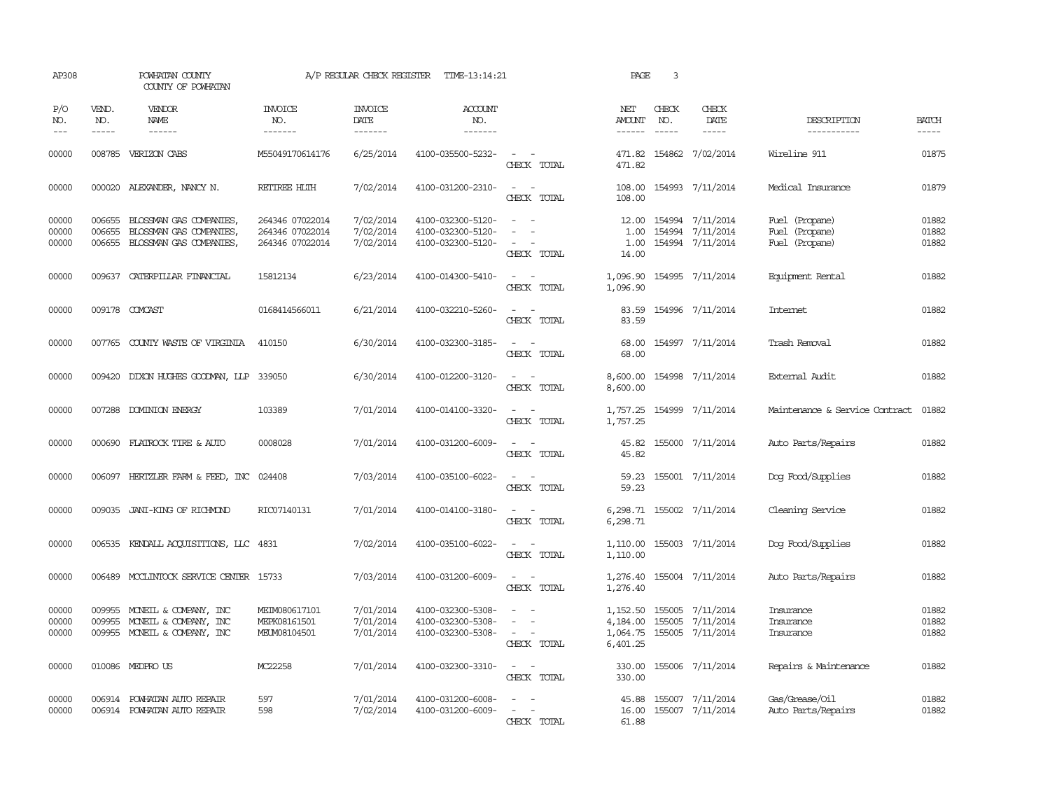| AP308                   |                               | POWHATAN COUNTY<br>COUNTY OF POWHATAN                                                        |                                                       | A/P REGULAR CHECK REGISTER          | TIME-13:14:21                                               |                                                                                                                             | PAGE                                         | $\overline{3}$                |                                                          |                                                    |                         |
|-------------------------|-------------------------------|----------------------------------------------------------------------------------------------|-------------------------------------------------------|-------------------------------------|-------------------------------------------------------------|-----------------------------------------------------------------------------------------------------------------------------|----------------------------------------------|-------------------------------|----------------------------------------------------------|----------------------------------------------------|-------------------------|
| P/O<br>NO.<br>$---$     | VEND.<br>NO.<br>$\frac{1}{2}$ | VENDOR<br><b>NAME</b><br>$- - - - - -$                                                       | <b>INVOICE</b><br>NO.<br>-------                      | <b>INVOICE</b><br>DATE<br>-------   | <b>ACCOUNT</b><br>NO.<br>-------                            |                                                                                                                             | NET<br>AMOUNT<br>------                      | CHECK<br>NO.<br>$\frac{1}{2}$ | CHECK<br>DATE<br>$- - - - -$                             | DESCRIPTION<br>-----------                         | <b>BATCH</b><br>-----   |
| 00000                   |                               | 008785 VERIZON CABS                                                                          | M55049170614176                                       | 6/25/2014                           | 4100-035500-5232-                                           | $\sim$<br>$\sim$<br>CHECK TOTAL                                                                                             | 471.82<br>471.82                             |                               | 154862 7/02/2014                                         | Wireline 911                                       | 01875                   |
| 00000                   |                               | 000020 ALEXANDER, NANCY N.                                                                   | RETIREE HLIH                                          | 7/02/2014                           | 4100-031200-2310-                                           | $\omega_{\rm{max}}$ and $\omega_{\rm{max}}$<br>CHECK TOTAL                                                                  | 108.00<br>108.00                             |                               | 154993 7/11/2014                                         | Medical Insurance                                  | 01879                   |
| 00000<br>00000<br>00000 | 006655<br>006655<br>006655    | BLOSSMAN GAS COMPANIES,<br>BLOSSMAN GAS COMPANIES,<br>BLOSSMAN GAS COMPANIES,                | 264346 07022014<br>264346 07022014<br>264346 07022014 | 7/02/2014<br>7/02/2014<br>7/02/2014 | 4100-032300-5120-<br>4100-032300-5120-<br>4100-032300-5120- | $\sim$<br>$\equiv$<br>$\overline{\phantom{a}}$<br>CHECK TOTAL                                                               | 12.00<br>1.00<br>1.00<br>14.00               |                               | 154994 7/11/2014<br>154994 7/11/2014<br>154994 7/11/2014 | Fuel (Propane)<br>Fuel (Propane)<br>Fuel (Propane) | 01882<br>01882<br>01882 |
| 00000                   |                               | 009637 CATERPILLAR FINANCIAL                                                                 | 15812134                                              | 6/23/2014                           | 4100-014300-5410-                                           | $\overline{\phantom{a}}$<br>$\sim$<br>CHECK TOTAL                                                                           | 1,096.90<br>1,096.90                         |                               | 154995 7/11/2014                                         | Equipment Rental                                   | 01882                   |
| 00000                   |                               | 009178 COMCAST                                                                               | 0168414566011                                         | 6/21/2014                           | 4100-032210-5260-                                           | $\overline{\phantom{a}}$<br>CHECK TOTAL                                                                                     | 83.59<br>83.59                               |                               | 154996 7/11/2014                                         | Internet                                           | 01882                   |
| 00000                   |                               | 007765 COUNTY WASTE OF VIRGINIA                                                              | 410150                                                | 6/30/2014                           | 4100-032300-3185-                                           | $\frac{1}{2} \left( \frac{1}{2} \right) \left( \frac{1}{2} \right) = \frac{1}{2} \left( \frac{1}{2} \right)$<br>CHECK TOTAL | 68.00<br>68.00                               |                               | 154997 7/11/2014                                         | Trash Removal                                      | 01882                   |
| 00000                   |                               | 009420 DIXON HUGHES GOODWAN, LLP 339050                                                      |                                                       | 6/30/2014                           | 4100-012200-3120-                                           | $\sim$<br>$\sim$<br>CHECK TOTAL                                                                                             | 8,600.00<br>8,600.00                         |                               | 154998 7/11/2014                                         | External Audit                                     | 01882                   |
| 00000                   |                               | 007288 DOMINION ENERGY                                                                       | 103389                                                | 7/01/2014                           | 4100-014100-3320-                                           | CHECK TOTAL                                                                                                                 | 1,757.25<br>1,757.25                         |                               | 154999 7/11/2014                                         | Maintenance & Service Contract                     | 01882                   |
| 00000                   |                               | 000690 FLATROCK TIRE & AUTO                                                                  | 0008028                                               | 7/01/2014                           | 4100-031200-6009-                                           | $\sim$ $ \sim$<br>CHECK TOTAL                                                                                               | 45.82<br>45.82                               |                               | 155000 7/11/2014                                         | Auto Parts/Repairs                                 | 01882                   |
| 00000                   |                               | 006097 HERTZLER FARM & FEED, INC 024408                                                      |                                                       | 7/03/2014                           | 4100-035100-6022-                                           | $\frac{1}{2} \left( \frac{1}{2} \right) \left( \frac{1}{2} \right) = \frac{1}{2} \left( \frac{1}{2} \right)$<br>CHECK TOTAL | 59.23<br>59.23                               |                               | 155001 7/11/2014                                         | Dog Food/Supplies                                  | 01882                   |
| 00000                   |                               | 009035 JANI-KING OF RICHMOND                                                                 | RIC07140131                                           | 7/01/2014                           | 4100-014100-3180-                                           | $\sim$<br>$\sim$<br>CHECK TOTAL                                                                                             | 6,298.71                                     |                               | 6,298.71 155002 7/11/2014                                | Cleaning Service                                   | 01882                   |
| 00000                   |                               | 006535 KENDALL ACQUISITIONS, LLC 4831                                                        |                                                       | 7/02/2014                           | 4100-035100-6022-                                           | $\sim$ 100 $\sim$<br>CHECK TOTAL                                                                                            | 1,110.00<br>1,110.00                         |                               | 155003 7/11/2014                                         | Dog Food/Supplies                                  | 01882                   |
| 00000                   | 006489                        | MCCLINTOCK SERVICE CENTER 15733                                                              |                                                       | 7/03/2014                           | 4100-031200-6009-                                           | $\overline{\phantom{a}}$<br>CHECK TOTAL                                                                                     | 1,276.40<br>1,276.40                         |                               | 155004 7/11/2014                                         | Auto Parts/Repairs                                 | 01882                   |
| 00000<br>00000<br>00000 |                               | 009955 MONEIL & COMPANY, INC<br>009955 MONEIL & COMPANY, INC<br>009955 MONEIL & COMPANY, INC | MEIM080617101<br>MEPK08161501<br>MEUM08104501         | 7/01/2014<br>7/01/2014<br>7/01/2014 | 4100-032300-5308-<br>4100-032300-5308-<br>4100-032300-5308- | $\sim$<br>CHECK TOTAL                                                                                                       | 1,152.50<br>4,184.00<br>1,064.75<br>6,401.25 |                               | 155005 7/11/2014<br>155005 7/11/2014<br>155005 7/11/2014 | Insurance<br>Insurance<br>Insurance                | 01882<br>01882<br>01882 |
| 00000                   |                               | 010086 MEDPROUS                                                                              | MC22258                                               | 7/01/2014                           | 4100-032300-3310-                                           | $\sim$ $\sim$<br>CHECK TOTAL                                                                                                | 330.00<br>330.00                             |                               | 155006 7/11/2014                                         | Repairs & Maintenance                              | 01882                   |
| 00000<br>00000          |                               | 006914 POWHATAN AUTO REPAIR<br>006914 POWHATAN AUTO REPAIR                                   | 597<br>598                                            | 7/01/2014<br>7/02/2014              | 4100-031200-6008-<br>4100-031200-6009-                      | $\sim$ $\sim$<br>CHRCK TOTAL                                                                                                | 45.88<br>16.00<br>61.88                      |                               | 155007 7/11/2014<br>155007 7/11/2014                     | Gas/Grease/Oil<br>Auto Parts/Repairs               | 01882<br>01882          |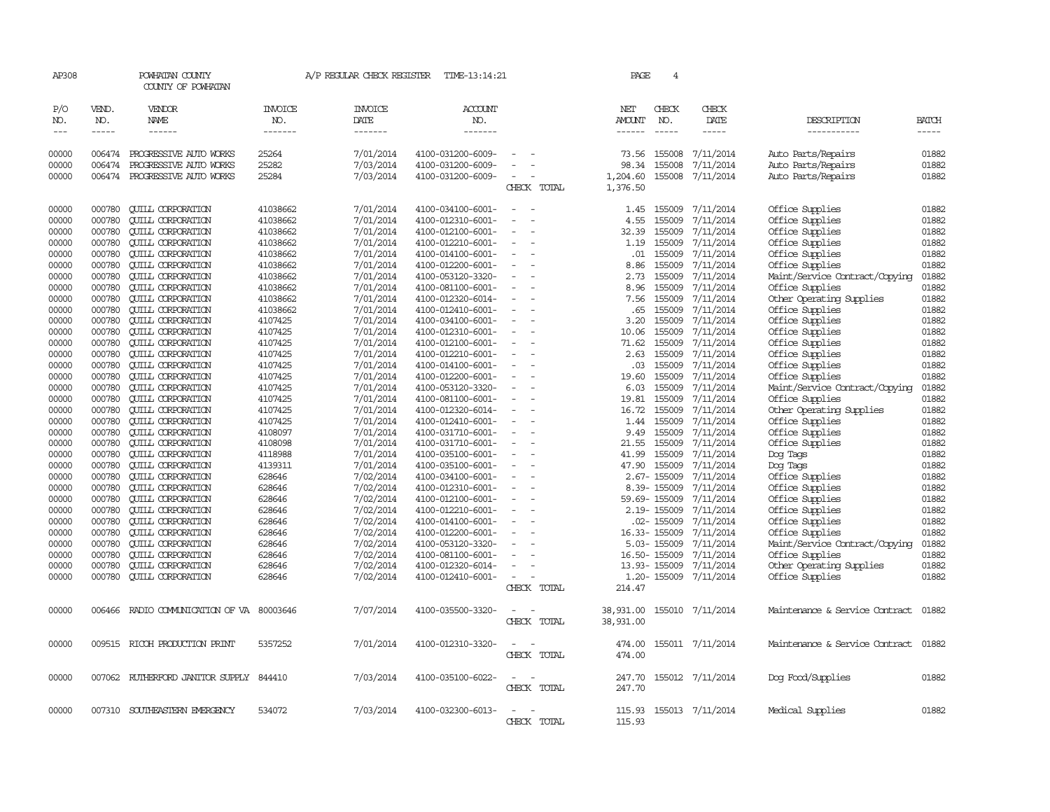| AP308                           |                       | POWHATAN COUNTY<br>COUNTY OF POWHATAN   |                           | A/P REGULAR CHECK REGISTER        | TIME-13:14:21             |                              | PAGE                    | 4                             |                        |                                |              |
|---------------------------------|-----------------------|-----------------------------------------|---------------------------|-----------------------------------|---------------------------|------------------------------|-------------------------|-------------------------------|------------------------|--------------------------------|--------------|
| P/O<br>NO.<br>$\qquad \qquad -$ | VEND.<br>NO.<br>----- | VENDOR<br>NAME                          | INVOICE<br>NO.<br>------- | <b>INVOICE</b><br>DATE<br>------- | ACCOUNT<br>NO.<br>------- |                              | NET<br>AMOUNT<br>------ | CHECK<br>NO.<br>$\frac{1}{2}$ | CHECK<br>DATE<br>----- | DESCRIPTION<br>-----------     | <b>BATCH</b> |
| 00000                           |                       | 006474 PROGRESSIVE AUTO WORKS           | 25264                     | 7/01/2014                         | 4100-031200-6009-         |                              | 73.56                   | 155008                        | 7/11/2014              | Auto Parts/Repairs             | 01882        |
| 00000                           | 006474                | PROGRESSIVE AUTO WORKS                  | 25282                     | 7/03/2014                         | 4100-031200-6009-         |                              | 98.34                   | 155008                        | 7/11/2014              | Auto Parts/Repairs             | 01882        |
| 00000                           |                       | 006474 PROGRESSIVE AUTO WORKS           | 25284                     | 7/03/2014                         | 4100-031200-6009-         |                              | 1,204.60                |                               | 155008 7/11/2014       | Auto Parts/Repairs             | 01882        |
|                                 |                       |                                         |                           |                                   |                           | CHECK TOTAL                  | 1,376.50                |                               |                        |                                |              |
| 00000                           | 000780                | <b>QUILL CORPORATION</b>                | 41038662                  | 7/01/2014                         | 4100-034100-6001-         |                              | 1.45                    | 155009                        | 7/11/2014              | Office Supplies                | 01882        |
| 00000                           | 000780                | <b>QUILL CORPORATION</b>                | 41038662                  | 7/01/2014                         | 4100-012310-6001-         |                              | 4.55                    | 155009                        | 7/11/2014              | Office Supplies                | 01882        |
| 00000                           | 000780                | <b>QUILL CORPORATION</b>                | 41038662                  | 7/01/2014                         | 4100-012100-6001-         |                              | 32.39                   | 155009                        | 7/11/2014              | Office Supplies                | 01882        |
| 00000                           | 000780                | <b>QUILL CORPORATION</b>                | 41038662                  | 7/01/2014                         | 4100-012210-6001-         |                              | 1.19                    | 155009                        | 7/11/2014              | Office Supplies                | 01882        |
| 00000                           | 000780                | <b>QUILL CORPORATION</b>                | 41038662                  | 7/01/2014                         | 4100-014100-6001-         |                              | .01                     | 155009                        | 7/11/2014              | Office Supplies                | 01882        |
| 00000                           | 000780                | <b>QUILL CORPORATION</b>                | 41038662                  | 7/01/2014                         | 4100-012200-6001-         | $\equiv$                     | 8.86                    | 155009                        | 7/11/2014              | Office Supplies                | 01882        |
| 00000                           | 000780                | <b>QUILL CORPORATION</b>                | 41038662                  | 7/01/2014                         | 4100-053120-3320-         |                              | 2.73                    | 155009                        | 7/11/2014              | Maint/Service Contract/Copying | 01882        |
| 00000                           | 000780                | <b>CUILL CORPORATION</b>                | 41038662                  | 7/01/2014                         | 4100-081100-6001-         |                              | 8.96                    | 155009                        | 7/11/2014              | Office Supplies                | 01882        |
| 00000                           | 000780                | <b>QUILL CORPORATION</b>                | 41038662                  | 7/01/2014                         | 4100-012320-6014-         |                              | 7.56                    | 155009                        | 7/11/2014              | Other Operating Supplies       | 01882        |
| 00000                           | 000780                | <b>QUILL CORPORATION</b>                | 41038662                  | 7/01/2014                         | 4100-012410-6001-         | $\overline{\phantom{a}}$     | .65                     | 155009                        | 7/11/2014              | Office Supplies                | 01882        |
| 00000                           | 000780                | <b>CUILL CORPORATION</b>                | 4107425                   | 7/01/2014                         | 4100-034100-6001-         |                              | 3.20                    | 155009                        | 7/11/2014              | Office Supplies                | 01882        |
| 00000                           | 000780                | <b>CUILL CORPORATION</b>                | 4107425                   | 7/01/2014                         | 4100-012310-6001-         |                              | 10.06                   | 155009                        | 7/11/2014              | Office Supplies                | 01882        |
| 00000                           | 000780                | <b>CUILL CORPORATION</b>                | 4107425                   | 7/01/2014                         | 4100-012100-6001-         |                              | 71.62                   | 155009                        | 7/11/2014              | Office Supplies                | 01882        |
| 00000                           | 000780                | <b>CUILL CORPORATION</b>                | 4107425                   | 7/01/2014                         | 4100-012210-6001-         |                              | 2.63                    | 155009                        | 7/11/2014              | Office Supplies                | 01882        |
| 00000                           | 000780                | <b>QUILL CORPORATION</b>                | 4107425                   | 7/01/2014                         | 4100-014100-6001-         |                              | .03                     | 155009                        | 7/11/2014              | Office Supplies                | 01882        |
| 00000                           | 000780                | <b>QUILL CORPORATION</b>                | 4107425                   | 7/01/2014                         | 4100-012200-6001-         |                              | 19.60                   | 155009                        | 7/11/2014              | Office Supplies                | 01882        |
| 00000                           | 000780                | <b>QUILL CORPORATION</b>                | 4107425                   | 7/01/2014                         | 4100-053120-3320-         | $\overline{\phantom{a}}$     | 6.03                    | 155009                        | 7/11/2014              | Maint/Service Contract/Copying | 01882        |
| 00000                           | 000780                | <b>QUILL CORPORATION</b>                | 4107425                   | 7/01/2014                         | 4100-081100-6001-         |                              | 19.81                   | 155009                        | 7/11/2014              | Office Supplies                | 01882        |
| 00000                           | 000780                | <b>QUILL CORPORATION</b>                | 4107425                   | 7/01/2014                         | 4100-012320-6014-         |                              | 16.72                   | 155009                        | 7/11/2014              | Other Operating Supplies       | 01882        |
| 00000                           | 000780                | <b>QUILL CORPORATION</b>                | 4107425                   | 7/01/2014                         | 4100-012410-6001-         |                              | 1.44                    | 155009                        | 7/11/2014              | Office Supplies                | 01882        |
| 00000                           | 000780                | <b>QUILL CORPORATION</b>                | 4108097                   | 7/01/2014                         | 4100-031710-6001-         | $\overline{\phantom{a}}$     | 9.49                    | 155009                        | 7/11/2014              | Office Supplies                | 01882        |
| 00000                           | 000780                | <b>QUILL CORPORATION</b>                | 4108098                   | 7/01/2014                         | 4100-031710-6001-         |                              | 21.55                   | 155009                        | 7/11/2014              | Office Supplies                | 01882        |
| 00000                           | 000780                | <b>CUILL CORPORATION</b>                | 4118988                   | 7/01/2014                         | 4100-035100-6001-         |                              | 41.99                   | 155009                        | 7/11/2014              | Dog Tags                       | 01882        |
| 00000                           | 000780                | <b>QUILL CORPORATION</b>                | 4139311                   | 7/01/2014                         | 4100-035100-6001-         | $\overline{\phantom{a}}$     | 47.90                   | 155009                        | 7/11/2014              | Dog Tags                       | 01882        |
| 00000                           | 000780                | <b>QUILL CORPORATION</b>                | 628646                    | 7/02/2014                         | 4100-034100-6001-         | $\overline{\phantom{a}}$     |                         | 2.67-155009                   | 7/11/2014              | Office Supplies                | 01882        |
| 00000                           | 000780                | <b>CUILL CORPORATION</b>                | 628646                    | 7/02/2014                         | 4100-012310-6001-         |                              |                         | 8.39-155009                   | 7/11/2014              | Office Supplies                | 01882        |
| 00000                           | 000780                | <b>CUILL CORPORATION</b>                | 628646                    | 7/02/2014                         | 4100-012100-6001-         |                              |                         | 59.69-155009                  | 7/11/2014              | Office Supplies                | 01882        |
| 00000                           | 000780                | <b>CUILL CORPORATION</b>                | 628646                    | 7/02/2014                         | 4100-012210-6001-         | $\overline{\phantom{a}}$     |                         | 2.19-155009                   | 7/11/2014              | Office Supplies                | 01882        |
| 00000                           | 000780                | <b>CUILL CORPORATION</b>                | 628646                    | 7/02/2014                         | 4100-014100-6001-         |                              |                         | .02- 155009                   | 7/11/2014              | Office Supplies                | 01882        |
| 00000                           | 000780                | <b>QUILL CORPORATION</b>                | 628646                    | 7/02/2014                         | 4100-012200-6001-         |                              |                         | 16.33-155009                  | 7/11/2014              | Office Supplies                | 01882        |
| 00000                           | 000780                | <b>QUILL CORPORATION</b>                | 628646                    | 7/02/2014                         | 4100-053120-3320-         |                              |                         | 5.03-155009                   | 7/11/2014              | Maint/Service Contract/Copying | 01882        |
| 00000                           | 000780                | <b>QUILL CORPORATION</b>                | 628646                    | 7/02/2014                         | 4100-081100-6001-         | $\equiv$                     |                         | 16.50-155009                  | 7/11/2014              | Office Supplies                | 01882        |
| 00000                           | 000780                | <b>QUILL CORPORATION</b>                | 628646                    | 7/02/2014                         | 4100-012320-6014-         |                              |                         | 13.93-155009                  | 7/11/2014              | Other Operating Supplies       | 01882        |
| 00000                           | 000780                | <b>QUILL CORPORATION</b>                | 628646                    | 7/02/2014                         | 4100-012410-6001-         | $\sim$                       |                         | 1.20-155009                   | 7/11/2014              | Office Supplies                | 01882        |
|                                 |                       |                                         |                           |                                   |                           | CHECK TOTAL                  | 214.47                  |                               |                        |                                |              |
| 00000                           | 006466                | RADIO COMMUNICATION OF VA               | 80003646                  | 7/07/2014                         | 4100-035500-3320-         |                              | 38,931.00               |                               | 155010 7/11/2014       | Maintenance & Service Contract | 01882        |
|                                 |                       |                                         |                           |                                   |                           | CHECK TOTAL                  | 38,931.00               |                               |                        |                                |              |
| 00000                           |                       | 009515 RICCH PRODUCTION PRINT           | 5357252                   | 7/01/2014                         | 4100-012310-3320-         |                              | 474.00                  |                               | 155011 7/11/2014       | Maintenance & Service Contract | 01882        |
|                                 |                       |                                         |                           |                                   |                           | CHECK TOTAL                  | 474.00                  |                               |                        |                                |              |
| 00000                           |                       | 007062 RUIHERFORD JANITOR SUPPLY 844410 |                           | 7/03/2014                         | 4100-035100-6022-         |                              | 247.70                  |                               | 155012 7/11/2014       | Dog Food/Supplies              | 01882        |
|                                 |                       |                                         |                           |                                   |                           | CHECK TOTAL                  | 247.70                  |                               |                        |                                |              |
| 00000                           |                       | 007310 SOUTHEASTERN EMERGENCY           | 534072                    | 7/03/2014                         | 4100-032300-6013-         | $\overline{\phantom{a}}$     | 115.93                  |                               | 155013 7/11/2014       | Medical Supplies               | 01882        |
|                                 |                       |                                         |                           |                                   |                           | <b>CHECK</b><br><b>TOTAL</b> | 115.93                  |                               |                        |                                |              |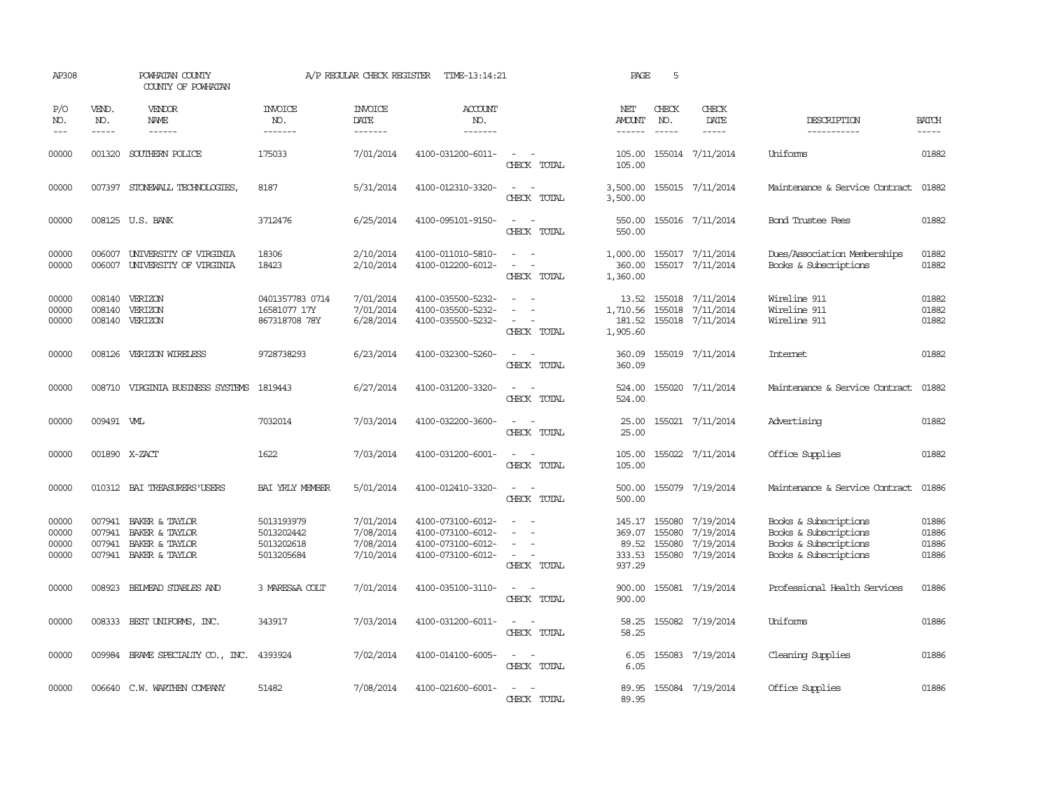| AP308                            |                             | POWHATAN COUNTY<br>COUNTY OF POWHATAN                                       |                                                      | A/P REGULAR CHECK REGISTER                       | TIME-13:14:21                                                                    |                                                                                                                             | PAGE                                          | 5                                    |                                                          |                                                                                                  |                                  |
|----------------------------------|-----------------------------|-----------------------------------------------------------------------------|------------------------------------------------------|--------------------------------------------------|----------------------------------------------------------------------------------|-----------------------------------------------------------------------------------------------------------------------------|-----------------------------------------------|--------------------------------------|----------------------------------------------------------|--------------------------------------------------------------------------------------------------|----------------------------------|
| P/O<br>NO.<br>$---$              | VEND.<br>NO.<br>$- - - - -$ | VENDOR<br>NAME<br>$- - - - - -$                                             | INVOICE<br>NO.<br>-------                            | <b>INVOICE</b><br>DATE<br>-------                | ACCOUNT<br>NO.<br>$- - - - - - -$                                                |                                                                                                                             | NET<br><b>AMOUNT</b><br>------                | CHECK<br>NO.<br>$- - - - -$          | CHECK<br>DATE<br>$- - - - -$                             | DESCRIPTION<br>-----------                                                                       | <b>BATCH</b><br>-----            |
| 00000                            | 001320                      | SOUTHERN POLICE                                                             | 175033                                               | 7/01/2014                                        | 4100-031200-6011-                                                                | CHECK TOTAL                                                                                                                 | 105.00<br>105.00                              |                                      | 155014 7/11/2014                                         | Uniforms                                                                                         | 01882                            |
| 00000                            |                             | 007397 STONEWALL TECHNOLOGIES                                               | 8187                                                 | 5/31/2014                                        | 4100-012310-3320-                                                                | $\sim$<br>CHECK TOTAL                                                                                                       | 3,500.00<br>3,500.00                          |                                      | 155015 7/11/2014                                         | Maintenance & Service Contract                                                                   | 01882                            |
| 00000                            |                             | 008125 U.S. BANK                                                            | 3712476                                              | 6/25/2014                                        | 4100-095101-9150-                                                                | $\equiv$<br>CHECK TOTAL                                                                                                     | 550.00<br>550.00                              |                                      | 155016 7/11/2014                                         | <b>Bond Trustee Fees</b>                                                                         | 01882                            |
| 00000<br>00000                   |                             | 006007 UNIVERSITY OF VIRGINIA<br>006007 UNIVERSITY OF VIRGINIA              | 18306<br>18423                                       | 2/10/2014<br>2/10/2014                           | 4100-011010-5810-<br>4100-012200-6012-                                           | $\omega_{\rm{max}}$ and $\omega_{\rm{max}}$<br>$\sim$<br>CHECK TOTAL                                                        | 1,000.00<br>360.00<br>1,360.00                |                                      | 155017 7/11/2014<br>155017 7/11/2014                     | Dues/Association Memberships<br>Books & Subscriptions                                            | 01882<br>01882                   |
| 00000<br>00000<br>00000          | 008140                      | 008140 VERIZON<br>VERIZON<br>008140 VERIZON                                 | 0401357783 0714<br>16581077 17Y<br>867318708 78Y     | 7/01/2014<br>7/01/2014<br>6/28/2014              | 4100-035500-5232-<br>4100-035500-5232-<br>4100-035500-5232-                      | CHECK TOTAL                                                                                                                 | 13.52<br>1,710.56<br>181.52<br>1,905.60       |                                      | 155018 7/11/2014<br>155018 7/11/2014<br>155018 7/11/2014 | Wireline 911<br>Wireline 911<br>Wireline 911                                                     | 01882<br>01882<br>01882          |
| 00000                            |                             | 008126 VERIZON WIRELESS                                                     | 9728738293                                           | 6/23/2014                                        | 4100-032300-5260-                                                                | $\frac{1}{2} \left( \frac{1}{2} \right) \left( \frac{1}{2} \right) = \frac{1}{2} \left( \frac{1}{2} \right)$<br>CHECK TOTAL | 360.09<br>360.09                              |                                      | 155019 7/11/2014                                         | Internet                                                                                         | 01882                            |
| 00000                            |                             | 008710 VIRGINIA BUSINESS SYSTEMS 1819443                                    |                                                      | 6/27/2014                                        | 4100-031200-3320-                                                                | $\sim$ $\sim$<br>CHECK TOTAL                                                                                                | 524.00<br>524.00                              |                                      | 155020 7/11/2014                                         | Maintenance & Service Contract                                                                   | 01882                            |
| 00000                            | 009491 WHL                  |                                                                             | 7032014                                              | 7/03/2014                                        | 4100-032200-3600-                                                                | $\frac{1}{2} \left( \frac{1}{2} \right) \left( \frac{1}{2} \right) = \frac{1}{2} \left( \frac{1}{2} \right)$<br>CHECK TOTAL | 25.00<br>25.00                                |                                      | 155021 7/11/2014                                         | Advertising                                                                                      | 01882                            |
| 00000                            | 001890 X-ZACT               |                                                                             | 1622                                                 | 7/03/2014                                        | 4100-031200-6001-                                                                | $\frac{1}{2} \left( \frac{1}{2} \right) \left( \frac{1}{2} \right) = \frac{1}{2} \left( \frac{1}{2} \right)$<br>CHECK TOTAL | 105.00<br>105.00                              |                                      | 155022 7/11/2014                                         | Office Supplies                                                                                  | 01882                            |
| 00000                            |                             | 010312 BAI TREASURERS USERS                                                 | <b>BAI YRLY MEMBER</b>                               | 5/01/2014                                        | 4100-012410-3320-                                                                | $\sim$<br>CHECK TOTAL                                                                                                       | 500.00<br>500.00                              |                                      | 155079 7/19/2014                                         | Maintenance & Service Contract                                                                   | 01886                            |
| 00000<br>00000<br>00000<br>00000 | 007941<br>007941<br>007941  | BAKER & TAYLOR<br>BAKER & TAYLOR<br>BAKER & TAYLOR<br>007941 BAKER & TAYLOR | 5013193979<br>5013202442<br>5013202618<br>5013205684 | 7/01/2014<br>7/08/2014<br>7/08/2014<br>7/10/2014 | 4100-073100-6012-<br>4100-073100-6012-<br>4100-073100-6012-<br>4100-073100-6012- | $\equiv$<br>$\sim$<br>CHECK TOTAL                                                                                           | 145.17<br>369.07<br>89.52<br>333.53<br>937.29 | 155080<br>155080<br>155080<br>155080 | 7/19/2014<br>7/19/2014<br>7/19/2014<br>7/19/2014         | Books & Subscriptions<br>Books & Subscriptions<br>Books & Subscriptions<br>Books & Subscriptions | 01886<br>01886<br>01886<br>01886 |
| 00000                            | 008923                      | BEIMEAD STABLES AND                                                         | 3 MARES&A COLT                                       | 7/01/2014                                        | 4100-035100-3110-                                                                | $\overline{\phantom{a}}$<br>CHECK TOTAL                                                                                     | 900.00<br>900.00                              |                                      | 155081 7/19/2014                                         | Professional Health Services                                                                     | 01886                            |
| 00000                            | 008333                      | BEST UNIFORMS, INC.                                                         | 343917                                               | 7/03/2014                                        | 4100-031200-6011-                                                                | $\frac{1}{2} \left( \frac{1}{2} \right) \left( \frac{1}{2} \right) = \frac{1}{2} \left( \frac{1}{2} \right)$<br>CHECK TOTAL | 58.25<br>58.25                                |                                      | 155082 7/19/2014                                         | Uniforms                                                                                         | 01886                            |
| 00000                            |                             | 009984 BRAME SPECIALTY CO., INC.                                            | 4393924                                              | 7/02/2014                                        | 4100-014100-6005-                                                                | $\sim$ $ \sim$<br>CHECK TOTAL                                                                                               | 6.05<br>6.05                                  |                                      | 155083 7/19/2014                                         | Cleaning Supplies                                                                                | 01886                            |
| 00000                            |                             | 006640 C.W. WARTHEN COMPANY                                                 | 51482                                                | 7/08/2014                                        | 4100-021600-6001-                                                                | CHECK TOTAL                                                                                                                 | 89.95<br>89.95                                |                                      | 155084 7/19/2014                                         | Office Supplies                                                                                  | 01886                            |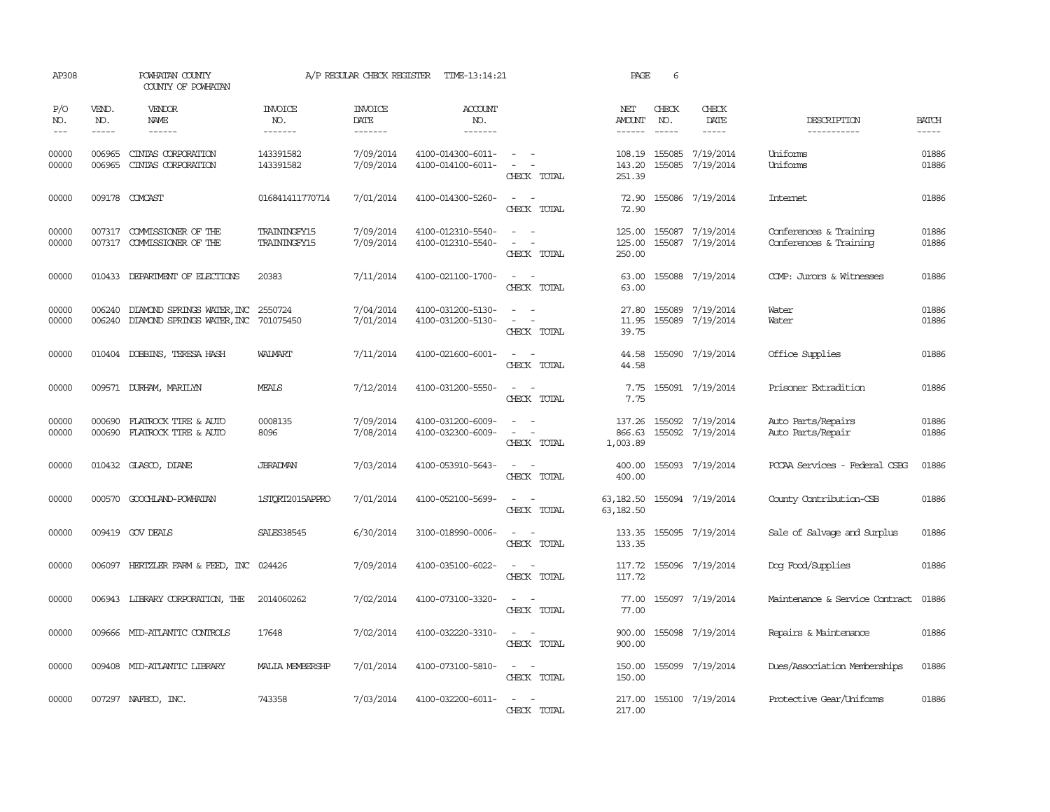| AP308               |                             | POWHATAN COUNTY<br>COUNTY OF POWHATAN                                   |                                     | A/P REGULAR CHECK REGISTER        | TIME-13:14:21                          |                                                                                                                             | PAGE                           | 6                           |                                      |                                                  |                       |
|---------------------|-----------------------------|-------------------------------------------------------------------------|-------------------------------------|-----------------------------------|----------------------------------------|-----------------------------------------------------------------------------------------------------------------------------|--------------------------------|-----------------------------|--------------------------------------|--------------------------------------------------|-----------------------|
| P/O<br>NO.<br>$---$ | VEND.<br>NO.<br>$- - - - -$ | VENDOR<br>NAME<br>$- - - - - -$                                         | <b>INVOICE</b><br>NO.<br>-------    | <b>INVOICE</b><br>DATE<br>------- | <b>ACCOUNT</b><br>NO.<br>-------       |                                                                                                                             | NET<br>AMOUNT<br>$- - - - - -$ | CHECK<br>NO.<br>$- - - - -$ | CHECK<br>DATE<br>$- - - - -$         | DESCRIPTION<br>-----------                       | <b>BATCH</b><br>----- |
| 00000<br>00000      | 006965<br>006965            | CINTAS CORPORATION<br>CINIAS CORPORATION                                | 143391582<br>143391582              | 7/09/2014<br>7/09/2014            | 4100-014300-6011-<br>4100-014100-6011- | $\sim$ $ \sim$<br>$\overline{\phantom{a}}$<br>CHECK TOTAL                                                                   | 143.20<br>251.39               | 155085                      | 108.19 155085 7/19/2014<br>7/19/2014 | Uniforms<br>Uniforms                             | 01886<br>01886        |
| 00000               |                             | 009178 COMCAST                                                          | 016841411770714                     | 7/01/2014                         | 4100-014300-5260-                      | $\sim$<br>CHECK TOTAL                                                                                                       | 72.90<br>72.90                 |                             | 155086 7/19/2014                     | Internet                                         | 01886                 |
| 00000<br>00000      | 007317<br>007317            | COMMISSIONER OF THE<br>COMMISSIONER OF THE                              | <b>TRAININGFY15</b><br>TRAININGFY15 | 7/09/2014<br>7/09/2014            | 4100-012310-5540-<br>4100-012310-5540- | $\overline{\phantom{a}}$<br>$\overline{\phantom{a}}$<br>CHECK TOTAL                                                         | 125.00<br>125.00<br>250.00     | 155087                      | 155087 7/19/2014<br>7/19/2014        | Conferences & Training<br>Conferences & Training | 01886<br>01886        |
| 00000               |                             | 010433 DEPARIMENT OF ELECTIONS                                          | 20383                               | 7/11/2014                         | 4100-021100-1700-                      | $\equiv$<br>CHECK TOTAL                                                                                                     | 63.00<br>63.00                 |                             | 155088 7/19/2014                     | COMP: Jurors & Witnesses                         | 01886                 |
| 00000<br>00000      | 006240                      | 006240 DIAMOND SPRINGS WATER, INC 2550724<br>DIAMOND SPRINGS WATER, INC | 701075450                           | 7/04/2014<br>7/01/2014            | 4100-031200-5130-<br>4100-031200-5130- | $\frac{1}{2} \left( \frac{1}{2} \right) \left( \frac{1}{2} \right) = \frac{1}{2} \left( \frac{1}{2} \right)$<br>CHECK TOTAL | 27.80<br>11.95<br>39.75        | 155089                      | 155089 7/19/2014<br>7/19/2014        | Water<br>Water                                   | 01886<br>01886        |
| 00000               |                             | 010404 DOBBINS, TERESA HASH                                             | WALMART                             | 7/11/2014                         | 4100-021600-6001-                      | $\overline{\phantom{a}}$<br>CHECK TOTAL                                                                                     | 44.58<br>44.58                 |                             | 155090 7/19/2014                     | Office Supplies                                  | 01886                 |
| 00000               |                             | 009571 DURHAM, MARILYN                                                  | MEALS                               | 7/12/2014                         | 4100-031200-5550-                      | CHECK TOTAL                                                                                                                 | 7.75<br>7.75                   |                             | 155091 7/19/2014                     | Prisoner Extradition                             | 01886                 |
| 00000<br>00000      | 000690<br>000690            | FLATROCK TIRE & AUTO<br>FLATROCK TIRE & AUTO                            | 0008135<br>8096                     | 7/09/2014<br>7/08/2014            | 4100-031200-6009-<br>4100-032300-6009- | $\overline{\phantom{a}}$<br>$\overline{\phantom{a}}$<br>CHECK TOTAL                                                         | 137.26<br>866.63<br>1,003.89   |                             | 155092 7/19/2014<br>155092 7/19/2014 | Auto Parts/Repairs<br>Auto Parts/Repair          | 01886<br>01886        |
| 00000               |                             | 010432 GLASCO, DIANE                                                    | <b>JBRADMAN</b>                     | 7/03/2014                         | 4100-053910-5643-                      | $\overline{\phantom{a}}$<br>CHECK TOTAL                                                                                     | 400.00<br>400.00               |                             | 155093 7/19/2014                     | PCCAA Services - Federal CSBG                    | 01886                 |
| 00000               |                             | 000570 GOOCHLAND-POWHATAN                                               | 1STORT2015APPRO                     | 7/01/2014                         | 4100-052100-5699-                      | $\omega_{\rm{max}}$ and $\omega_{\rm{max}}$<br>CHECK TOTAL                                                                  | 63, 182.50<br>63,182.50        |                             | 155094 7/19/2014                     | County Contribution-CSB                          | 01886                 |
| 00000               |                             | 009419 GOV DEALS                                                        | SALES38545                          | 6/30/2014                         | 3100-018990-0006-                      | $\sim$ $\sim$<br>CHECK TOTAL                                                                                                | 133.35                         |                             | 133.35 155095 7/19/2014              | Sale of Salvage and Surplus                      | 01886                 |
| 00000               |                             | 006097 HERTZLER FARM & FEED, INC                                        | 024426                              | 7/09/2014                         | 4100-035100-6022-                      | CHECK TOTAL                                                                                                                 | 117.72<br>117.72               |                             | 155096 7/19/2014                     | Dog Food/Supplies                                | 01886                 |
| 00000               |                             | 006943 LIBRARY CORPORATION, THE                                         | 2014060262                          | 7/02/2014                         | 4100-073100-3320-                      | $\sim$<br>CHECK TOTAL                                                                                                       | 77.00<br>77.00                 |                             | 155097 7/19/2014                     | Maintenance & Service Contract                   | 01886                 |
| 00000               |                             | 009666 MID-ATLANTIC CONTROLS                                            | 17648                               | 7/02/2014                         | 4100-032220-3310-                      | $ -$<br>CHECK TOTAL                                                                                                         | 900.00<br>900.00               |                             | 155098 7/19/2014                     | Repairs & Maintenance                            | 01886                 |
| 00000               |                             | 009408 MID-ATLANTIC LIBRARY                                             | <b>MALIA MEMBERSHP</b>              | 7/01/2014                         | 4100-073100-5810-                      | CHECK TOTAL                                                                                                                 | 150.00<br>150.00               |                             | 155099 7/19/2014                     | Dues/Association Memberships                     | 01886                 |
| 00000               |                             | 007297 NAFECO, INC.                                                     | 743358                              | 7/03/2014                         | 4100-032200-6011-                      | CHECK TOTAL                                                                                                                 | 217.00<br>217.00               |                             | 155100 7/19/2014                     | Protective Gear/Uniforms                         | 01886                 |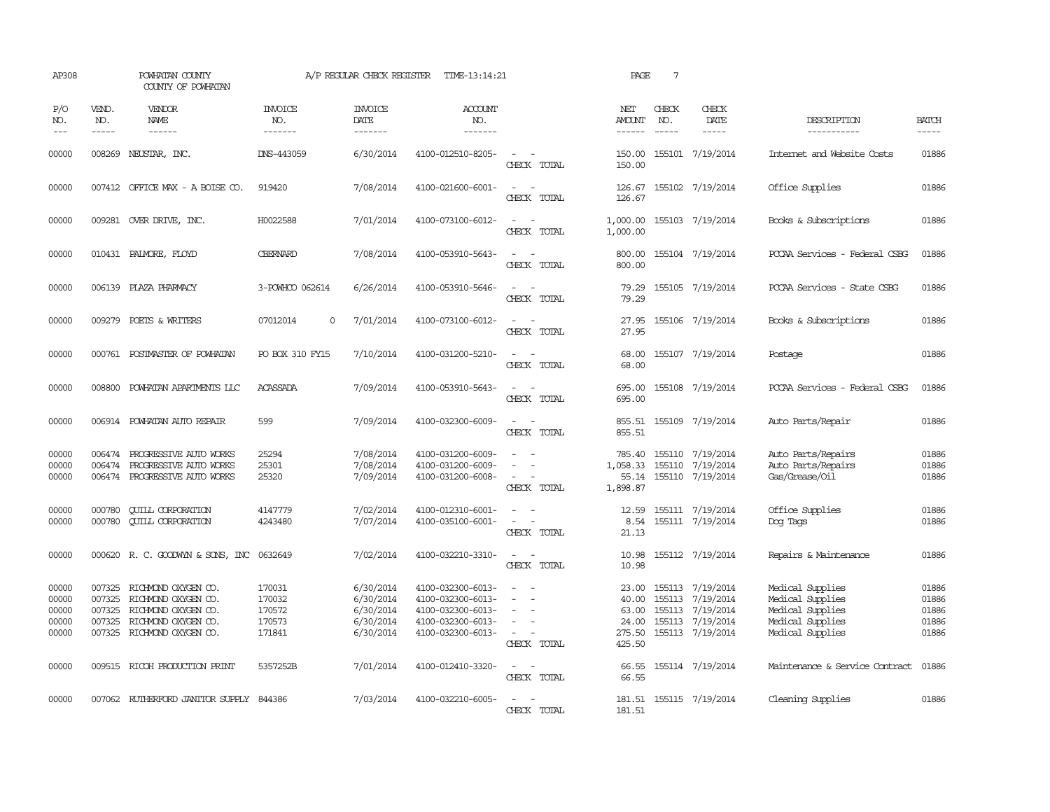| AP308                                                                                                                                                                                                                                                                                                                                                                                                      |                             | POWHATAN COUNTY<br>COUNTY OF POWHATAN                                                                                         |                                                | A/P REGULAR CHECK REGISTER                                    | TIME-13:14:21                                                                                         |                                                                                                                                                                                            | PAGE                                        | $7\phantom{.0}$             |                                                                                                        |                                                                                                  |                                           |
|------------------------------------------------------------------------------------------------------------------------------------------------------------------------------------------------------------------------------------------------------------------------------------------------------------------------------------------------------------------------------------------------------------|-----------------------------|-------------------------------------------------------------------------------------------------------------------------------|------------------------------------------------|---------------------------------------------------------------|-------------------------------------------------------------------------------------------------------|--------------------------------------------------------------------------------------------------------------------------------------------------------------------------------------------|---------------------------------------------|-----------------------------|--------------------------------------------------------------------------------------------------------|--------------------------------------------------------------------------------------------------|-------------------------------------------|
| P/O<br>NO.<br>$\frac{1}{2} \frac{1}{2} \frac{1}{2} \frac{1}{2} \frac{1}{2} \frac{1}{2} \frac{1}{2} \frac{1}{2} \frac{1}{2} \frac{1}{2} \frac{1}{2} \frac{1}{2} \frac{1}{2} \frac{1}{2} \frac{1}{2} \frac{1}{2} \frac{1}{2} \frac{1}{2} \frac{1}{2} \frac{1}{2} \frac{1}{2} \frac{1}{2} \frac{1}{2} \frac{1}{2} \frac{1}{2} \frac{1}{2} \frac{1}{2} \frac{1}{2} \frac{1}{2} \frac{1}{2} \frac{1}{2} \frac{$ | VEND.<br>NO.<br>$- - - - -$ | <b>VENDOR</b><br>NAME<br>$- - - - - -$                                                                                        | <b>INVOICE</b><br>NO.<br>-------               | <b>INVOICE</b><br>DATE<br>-------                             | <b>ACCOUNT</b><br>NO.<br>-------                                                                      |                                                                                                                                                                                            | NET<br>AMOUNT<br>------                     | CHECK<br>NO.<br>$- - - - -$ | CHECK<br>DATE<br>$- - - - -$                                                                           | DESCRIPTION<br>-----------                                                                       | <b>BATCH</b><br>-----                     |
| 00000                                                                                                                                                                                                                                                                                                                                                                                                      | 008269                      | NEUSTAR, INC.                                                                                                                 | DNS-443059                                     | 6/30/2014                                                     | 4100-012510-8205-                                                                                     | $\overline{\phantom{a}}$<br>CHECK TOTAL                                                                                                                                                    | 150.00<br>150.00                            |                             | 155101 7/19/2014                                                                                       | Internet and Website Costs                                                                       | 01886                                     |
| 00000                                                                                                                                                                                                                                                                                                                                                                                                      |                             | 007412 OFFICE MAX - A BOISE CO.                                                                                               | 919420                                         | 7/08/2014                                                     | 4100-021600-6001-                                                                                     | $\sim$ $\sim$<br>CHECK TOTAL                                                                                                                                                               | 126.67<br>126.67                            |                             | 155102 7/19/2014                                                                                       | Office Supplies                                                                                  | 01886                                     |
| 00000                                                                                                                                                                                                                                                                                                                                                                                                      |                             | 009281 OVER DRIVE, INC.                                                                                                       | H0022588                                       | 7/01/2014                                                     | 4100-073100-6012-                                                                                     | $ -$<br>CHECK TOTAL                                                                                                                                                                        | 1,000.00<br>1,000.00                        |                             | 155103 7/19/2014                                                                                       | Books & Subscriptions                                                                            | 01886                                     |
| 00000                                                                                                                                                                                                                                                                                                                                                                                                      |                             | 010431 PALMORE, FLOYD                                                                                                         | <b>CBERNARD</b>                                | 7/08/2014                                                     | 4100-053910-5643-                                                                                     | $\sim$ 10 $\sim$ 10 $\sim$<br>CHECK TOTAL                                                                                                                                                  | 800.00<br>800.00                            |                             | 155104 7/19/2014                                                                                       | PCCAA Services - Federal CSBG                                                                    | 01886                                     |
| 00000                                                                                                                                                                                                                                                                                                                                                                                                      |                             | 006139 PLAZA PHARMACY                                                                                                         | 3-POWHOO 062614                                | 6/26/2014                                                     | 4100-053910-5646-                                                                                     | $ -$<br>CHECK TOTAL                                                                                                                                                                        | 79.29<br>79.29                              |                             | 155105 7/19/2014                                                                                       | PCCAA Services - State CSBG                                                                      | 01886                                     |
| 00000                                                                                                                                                                                                                                                                                                                                                                                                      | 009279                      | POETS & WRITERS                                                                                                               | 07012014<br>$\Omega$                           | 7/01/2014                                                     | 4100-073100-6012-                                                                                     | $\sim$<br>$\sim$<br>CHECK TOTAL                                                                                                                                                            | 27.95<br>27.95                              |                             | 155106 7/19/2014                                                                                       | Books & Subscriptions                                                                            | 01886                                     |
| 00000                                                                                                                                                                                                                                                                                                                                                                                                      |                             | 000761 POSTMASTER OF POWHATAN                                                                                                 | PO BOX 310 FY15                                | 7/10/2014                                                     | 4100-031200-5210-                                                                                     | $\equiv$<br>CHECK TOTAL                                                                                                                                                                    | 68.00<br>68.00                              |                             | 155107 7/19/2014                                                                                       | Postage                                                                                          | 01886                                     |
| 00000                                                                                                                                                                                                                                                                                                                                                                                                      |                             | 008800 POWHATAN APARTMENTS LLC                                                                                                | <b>ACASSADA</b>                                | 7/09/2014                                                     | 4100-053910-5643-                                                                                     | $\frac{1}{2} \left( \frac{1}{2} \right) \left( \frac{1}{2} \right) = \frac{1}{2} \left( \frac{1}{2} \right)$<br>CHECK TOTAL                                                                | 695.00<br>695.00                            |                             | 155108 7/19/2014                                                                                       | PCCAA Services - Federal CSBG                                                                    | 01886                                     |
| 00000                                                                                                                                                                                                                                                                                                                                                                                                      |                             | 006914 POWHATAN AUTO REPAIR                                                                                                   | 599                                            | 7/09/2014                                                     | 4100-032300-6009-                                                                                     | $\sim$ $ \sim$<br>CHECK TOTAL                                                                                                                                                              | 855.51<br>855.51                            |                             | 155109 7/19/2014                                                                                       | Auto Parts/Repair                                                                                | 01886                                     |
| 00000<br>00000<br>00000                                                                                                                                                                                                                                                                                                                                                                                    | 006474<br>006474            | PROGRESSIVE AUTO WORKS<br>PROGRESSIVE AUTO WORKS<br>006474 PROGRESSIVE AUTO WORKS                                             | 25294<br>25301<br>25320                        | 7/08/2014<br>7/08/2014<br>7/09/2014                           | 4100-031200-6009-<br>4100-031200-6009-<br>4100-031200-6008-                                           | $\sim$<br>$\sim 100$<br>CHECK TOTAL                                                                                                                                                        | 785.40<br>1,058.33<br>55.14<br>1,898.87     |                             | 155110 7/19/2014<br>155110 7/19/2014<br>155110 7/19/2014                                               | Auto Parts/Repairs<br>Auto Parts/Repairs<br>Gas/Grease/Oil                                       | 01886<br>01886<br>01886                   |
| 00000<br>00000                                                                                                                                                                                                                                                                                                                                                                                             | 000780<br>000780            | <b>QUILL CORPORATION</b><br><b>QUILL CORPORATION</b>                                                                          | 4147779<br>4243480                             | 7/02/2014<br>7/07/2014                                        | 4100-012310-6001-<br>4100-035100-6001-                                                                | $\overline{\phantom{a}}$<br>$\overline{\phantom{a}}$<br>CHECK TOTAL                                                                                                                        | 12.59<br>8.54<br>21.13                      |                             | 155111 7/19/2014<br>155111 7/19/2014                                                                   | Office Supplies<br>Dog Tags                                                                      | 01886<br>01886                            |
| 00000                                                                                                                                                                                                                                                                                                                                                                                                      |                             | 000620 R. C. GOODWYN & SONS, INC                                                                                              | 0632649                                        | 7/02/2014                                                     | 4100-032210-3310-                                                                                     | $\sim$<br>CHECK TOTAL                                                                                                                                                                      | 10.98<br>10.98                              |                             | 155112 7/19/2014                                                                                       | Repairs & Maintenance                                                                            | 01886                                     |
| 00000<br>00000<br>00000<br>00000<br>00000                                                                                                                                                                                                                                                                                                                                                                  | 007325<br>007325<br>007325  | 007325 RICHMOND OXYGEN CO.<br>RICHMOND OXYGEN CO.<br>RICHMOND OXYGEN CO.<br>RICHMOND OXYGEN CO.<br>007325 RICHMOND OXYGEN CO. | 170031<br>170032<br>170572<br>170573<br>171841 | 6/30/2014<br>6/30/2014<br>6/30/2014<br>6/30/2014<br>6/30/2014 | 4100-032300-6013-<br>4100-032300-6013-<br>4100-032300-6013-<br>4100-032300-6013-<br>4100-032300-6013- | $\frac{1}{2} \left( \frac{1}{2} \right) \left( \frac{1}{2} \right) = \frac{1}{2} \left( \frac{1}{2} \right)$<br>$\overline{\phantom{a}}$<br>$\hspace{0.1mm}-\hspace{0.1mm}$<br>CHECK TOTAL | 40.00<br>63.00<br>24.00<br>275.50<br>425.50 |                             | 23.00 155113 7/19/2014<br>155113 7/19/2014<br>155113 7/19/2014<br>155113 7/19/2014<br>155113 7/19/2014 | Medical Supplies<br>Medical Supplies<br>Medical Supplies<br>Medical Supplies<br>Medical Supplies | 01886<br>01886<br>01886<br>01886<br>01886 |
| 00000                                                                                                                                                                                                                                                                                                                                                                                                      |                             | 009515 RICCH PRODUCTION PRINT                                                                                                 | 5357252B                                       | 7/01/2014                                                     | 4100-012410-3320-                                                                                     | $\frac{1}{2} \left( \frac{1}{2} \right) \left( \frac{1}{2} \right) = \frac{1}{2} \left( \frac{1}{2} \right)$<br>CHECK TOTAL                                                                | 66.55<br>66.55                              |                             | 155114 7/19/2014                                                                                       | Maintenance & Service Contract                                                                   | 01886                                     |
| 00000                                                                                                                                                                                                                                                                                                                                                                                                      |                             | 007062 RUIHERFORD JANITOR SUPPLY 844386                                                                                       |                                                | 7/03/2014                                                     | 4100-032210-6005-                                                                                     | CHECK TOTAL                                                                                                                                                                                | 181.51<br>181.51                            |                             | 155115 7/19/2014                                                                                       | Cleaning Supplies                                                                                | 01886                                     |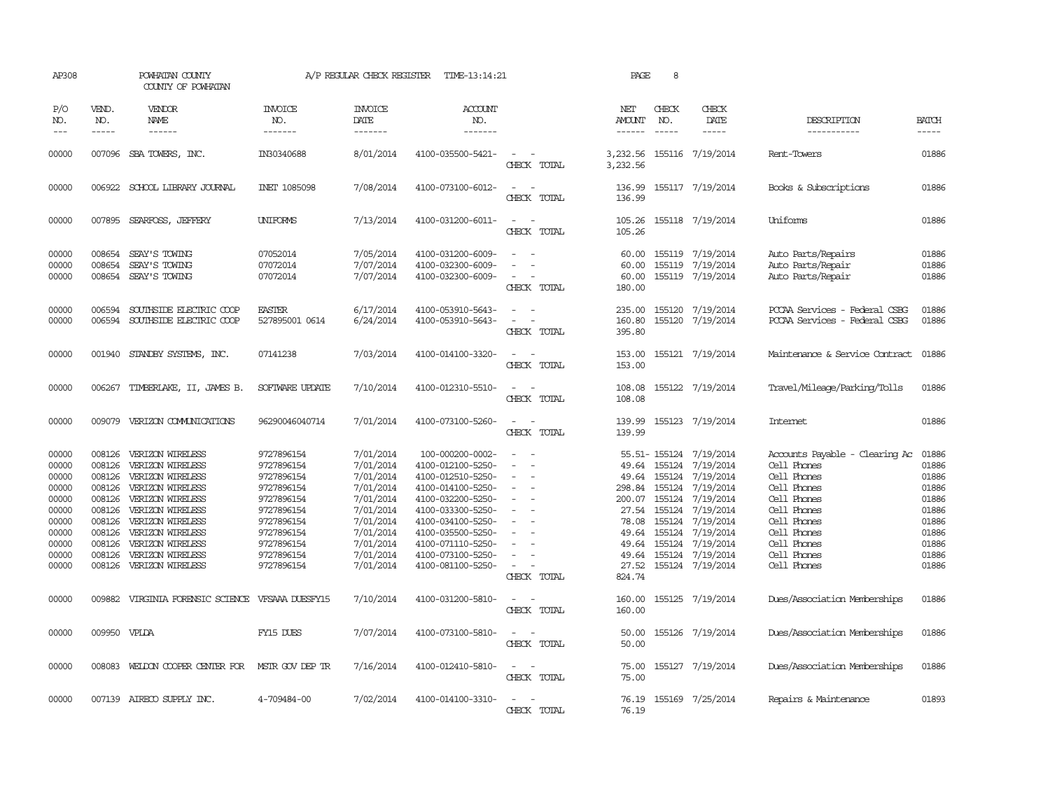| AP308                                                                                           |                                                                                                  | POWHATAN COUNTY<br>COUNTY OF POWHATAN                                                                                                                                                                                           |                                                                                                                                                        | A/P REGULAR CHECK REGISTER                                                                                                                  | TIME-13:14:21                                                                                                                                                                                                                      |                                                                                 | PAGE                                                                             | 8                                                                        |                                                                                                                                                                                     |                                                                                                                                                                                      |                                                                                                 |
|-------------------------------------------------------------------------------------------------|--------------------------------------------------------------------------------------------------|---------------------------------------------------------------------------------------------------------------------------------------------------------------------------------------------------------------------------------|--------------------------------------------------------------------------------------------------------------------------------------------------------|---------------------------------------------------------------------------------------------------------------------------------------------|------------------------------------------------------------------------------------------------------------------------------------------------------------------------------------------------------------------------------------|---------------------------------------------------------------------------------|----------------------------------------------------------------------------------|--------------------------------------------------------------------------|-------------------------------------------------------------------------------------------------------------------------------------------------------------------------------------|--------------------------------------------------------------------------------------------------------------------------------------------------------------------------------------|-------------------------------------------------------------------------------------------------|
| P/O<br>NO.<br>$\frac{1}{2}$                                                                     | VEND.<br>NO.<br>$- - - - -$                                                                      | VENDOR<br>NAME<br>$- - - - - -$                                                                                                                                                                                                 | <b>INVOICE</b><br>NO.<br>-------                                                                                                                       | <b>INVOICE</b><br>DATE<br>-------                                                                                                           | <b>ACCOUNT</b><br>NO.<br>-------                                                                                                                                                                                                   |                                                                                 | NET<br><b>AMOUNT</b><br>$- - - - - -$                                            | CHECK<br>NO.<br>$- - - - -$                                              | CHECK<br>DATE                                                                                                                                                                       | DESCRIPTION<br>-----------                                                                                                                                                           | <b>BATCH</b><br>-----                                                                           |
| 00000                                                                                           |                                                                                                  | 007096 SBA TOWERS, INC.                                                                                                                                                                                                         | IN30340688                                                                                                                                             | 8/01/2014                                                                                                                                   | 4100-035500-5421-                                                                                                                                                                                                                  | $\overline{\phantom{a}}$<br>CHECK TOTAL                                         | 3,232.56<br>3,232.56                                                             |                                                                          | 155116 7/19/2014                                                                                                                                                                    | Rent-Towers                                                                                                                                                                          | 01886                                                                                           |
| 00000                                                                                           |                                                                                                  | 006922 SCHOOL LIBRARY JOURNAL                                                                                                                                                                                                   | <b>INET 1085098</b>                                                                                                                                    | 7/08/2014                                                                                                                                   | 4100-073100-6012-                                                                                                                                                                                                                  | CHECK TOTAL                                                                     | 136.99                                                                           |                                                                          | 136.99 155117 7/19/2014                                                                                                                                                             | Books & Subscriptions                                                                                                                                                                | 01886                                                                                           |
| 00000                                                                                           |                                                                                                  | 007895 SEARFOSS, JEFFERY                                                                                                                                                                                                        | <b>UNIFORMS</b>                                                                                                                                        | 7/13/2014                                                                                                                                   | 4100-031200-6011-                                                                                                                                                                                                                  | $\sim$<br>$\sim$<br>CHECK TOTAL                                                 | 105.26<br>105.26                                                                 |                                                                          | 155118 7/19/2014                                                                                                                                                                    | Uniforms                                                                                                                                                                             | 01886                                                                                           |
| 00000<br>00000<br>00000                                                                         | 008654<br>008654<br>008654                                                                       | SEAY'S TOWING<br>SEAY'S TOWING<br>SEAY'S TOWING                                                                                                                                                                                 | 07052014<br>07072014<br>07072014                                                                                                                       | 7/05/2014<br>7/07/2014<br>7/07/2014                                                                                                         | 4100-031200-6009-<br>4100-032300-6009-<br>4100-032300-6009-                                                                                                                                                                        | $\overline{\phantom{a}}$<br>$\equiv$<br>$\overline{\phantom{a}}$<br>CHECK TOTAL | 60.00<br>60.00<br>60.00<br>180.00                                                |                                                                          | 155119 7/19/2014<br>155119 7/19/2014<br>155119 7/19/2014                                                                                                                            | Auto Parts/Repairs<br>Auto Parts/Repair<br>Auto Parts/Repair                                                                                                                         | 01886<br>01886<br>01886                                                                         |
| 00000<br>00000                                                                                  | 006594<br>006594                                                                                 | SOUTHSIDE ELECTRIC COOP<br>SOUTHSIDE ELECTRIC COOP                                                                                                                                                                              | <b>EASTER</b><br>527895001 0614                                                                                                                        | 6/17/2014<br>6/24/2014                                                                                                                      | 4100-053910-5643-<br>4100-053910-5643-                                                                                                                                                                                             | $\sim$ $\sim$<br>$\overline{\phantom{a}}$<br>CHECK TOTAL                        | 235.00<br>160.80<br>395.80                                                       |                                                                          | 155120 7/19/2014<br>155120 7/19/2014                                                                                                                                                | PCCAA Services - Federal CSBG<br>PCCAA Services - Federal CSBG                                                                                                                       | 01886<br>01886                                                                                  |
| 00000                                                                                           |                                                                                                  | 001940 STANDBY SYSTEMS, INC.                                                                                                                                                                                                    | 07141238                                                                                                                                               | 7/03/2014                                                                                                                                   | 4100-014100-3320-                                                                                                                                                                                                                  | CHECK TOTAL                                                                     | 153.00<br>153.00                                                                 |                                                                          | 155121 7/19/2014                                                                                                                                                                    | Maintenance & Service Contract                                                                                                                                                       | 01886                                                                                           |
| 00000                                                                                           |                                                                                                  | 006267 TIMBERLAKE, II, JAMES B.                                                                                                                                                                                                 | SOFTWARE UPDATE                                                                                                                                        | 7/10/2014                                                                                                                                   | 4100-012310-5510-                                                                                                                                                                                                                  | $\sim$<br>CHECK TOTAL                                                           | 108.08<br>108.08                                                                 |                                                                          | 155122 7/19/2014                                                                                                                                                                    | Travel/Mileage/Parking/Tolls                                                                                                                                                         | 01886                                                                                           |
| 00000                                                                                           |                                                                                                  | 009079 VERIZON COMMUNICATIONS                                                                                                                                                                                                   | 96290046040714                                                                                                                                         | 7/01/2014                                                                                                                                   | 4100-073100-5260-                                                                                                                                                                                                                  | $\sim$<br>CHECK TOTAL                                                           | 139.99<br>139.99                                                                 |                                                                          | 155123 7/19/2014                                                                                                                                                                    | Internet                                                                                                                                                                             | 01886                                                                                           |
| 00000<br>00000<br>00000<br>00000<br>00000<br>00000<br>00000<br>00000<br>00000<br>00000<br>00000 | 008126<br>008126<br>008126<br>008126<br>008126<br>008126<br>008126<br>008126<br>008126<br>008126 | VERIZON WIRELESS<br>VERIZON WIRELESS<br>VERIZON WIRELESS<br>VERIZON WIRELESS<br>VERIZON WIRELESS<br>VERIZON WIRELESS<br>VERIZON WIRELESS<br>VERIZON WIRELESS<br>VERIZON WIRELESS<br>VERIZON WIRELESS<br>008126 VERIZON WIRELESS | 9727896154<br>9727896154<br>9727896154<br>9727896154<br>9727896154<br>9727896154<br>9727896154<br>9727896154<br>9727896154<br>9727896154<br>9727896154 | 7/01/2014<br>7/01/2014<br>7/01/2014<br>7/01/2014<br>7/01/2014<br>7/01/2014<br>7/01/2014<br>7/01/2014<br>7/01/2014<br>7/01/2014<br>7/01/2014 | 100-000200-0002-<br>4100-012100-5250-<br>4100-012510-5250-<br>4100-014100-5250-<br>4100-032200-5250-<br>4100-033300-5250-<br>4100-034100-5250-<br>4100-035500-5250-<br>4100-071110-5250-<br>4100-073100-5250-<br>4100-081100-5250- | $\overline{\phantom{a}}$<br>$\sim$<br>CHECK TOTAL                               | 49.64<br>298.84<br>200.07<br>27.54<br>78.08<br>49.64<br>49.64<br>49.64<br>824.74 | 49.64 155124<br>155124<br>155124<br>155124<br>155124<br>155124<br>155124 | 55.51-155124 7/19/2014<br>7/19/2014<br>7/19/2014<br>7/19/2014<br>7/19/2014<br>7/19/2014<br>7/19/2014<br>155124 7/19/2014<br>7/19/2014<br>155124 7/19/2014<br>27.52 155124 7/19/2014 | Accounts Payable - Clearing Ac<br>Cell Phones<br>Cell Phones<br>Cell Phones<br>Cell Phones<br>Cell Phones<br>Cell Phones<br>Cell Phones<br>Cell Phones<br>Cell Phones<br>Cell Phones | 01886<br>01886<br>01886<br>01886<br>01886<br>01886<br>01886<br>01886<br>01886<br>01886<br>01886 |
| 00000                                                                                           |                                                                                                  | 009882 VIRGINIA FORENSIC SCIENCE                                                                                                                                                                                                | VFSAAA DUESFY15                                                                                                                                        | 7/10/2014                                                                                                                                   | 4100-031200-5810-                                                                                                                                                                                                                  | $\overline{\phantom{a}}$<br>CHECK TOTAL                                         | 160.00<br>160.00                                                                 |                                                                          | 155125 7/19/2014                                                                                                                                                                    | Dues/Association Memberships                                                                                                                                                         | 01886                                                                                           |
| 00000                                                                                           | 009950 VPLDA                                                                                     |                                                                                                                                                                                                                                 | FY15 DUES                                                                                                                                              | 7/07/2014                                                                                                                                   | 4100-073100-5810-                                                                                                                                                                                                                  | CHECK TOTAL                                                                     | 50.00<br>50.00                                                                   |                                                                          | 155126 7/19/2014                                                                                                                                                                    | Dues/Association Memberships                                                                                                                                                         | 01886                                                                                           |
| 00000                                                                                           |                                                                                                  | 008083 WELDON COOPER CENTER FOR                                                                                                                                                                                                 | MSTR GOV DEP TR                                                                                                                                        | 7/16/2014                                                                                                                                   | 4100-012410-5810-                                                                                                                                                                                                                  | $\sim$<br>CHECK TOTAL                                                           | 75.00<br>75.00                                                                   |                                                                          | 155127 7/19/2014                                                                                                                                                                    | Dues/Association Memberships                                                                                                                                                         | 01886                                                                                           |
| 00000                                                                                           |                                                                                                  | 007139 AIRECO SUPPLY INC.                                                                                                                                                                                                       | 4-709484-00                                                                                                                                            | 7/02/2014                                                                                                                                   | 4100-014100-3310-                                                                                                                                                                                                                  | CHECK TOTAL                                                                     | 76.19<br>76.19                                                                   |                                                                          | 155169 7/25/2014                                                                                                                                                                    | Repairs & Maintenance                                                                                                                                                                | 01893                                                                                           |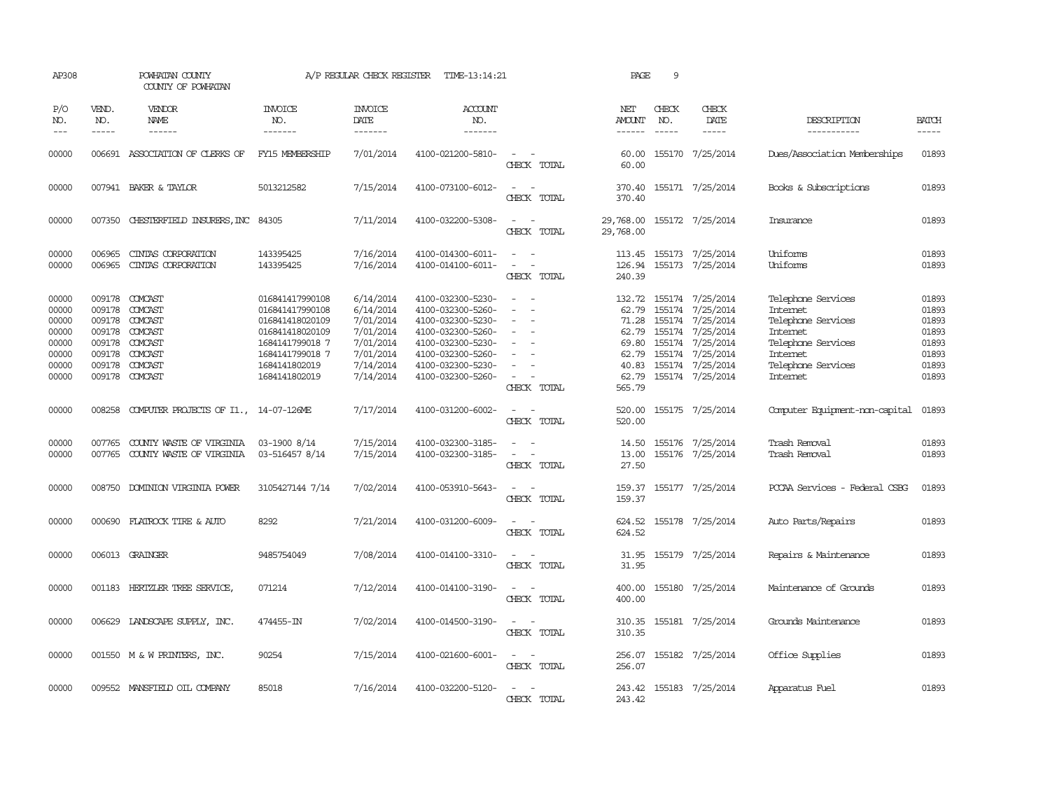| AP308                                                                |                                                          | POWHATAN COUNTY<br>COUNTY OF POWHATAN                                                              |                                                                                                                                                  | A/P REGULAR CHECK REGISTER                                                                           | TIME-13:14:21                                                                                                                                                        |                                                                                                                                            | PAGE                                                                            | 9                             |                                                                                                                                                       |                                                                                                                                      |                                                                      |
|----------------------------------------------------------------------|----------------------------------------------------------|----------------------------------------------------------------------------------------------------|--------------------------------------------------------------------------------------------------------------------------------------------------|------------------------------------------------------------------------------------------------------|----------------------------------------------------------------------------------------------------------------------------------------------------------------------|--------------------------------------------------------------------------------------------------------------------------------------------|---------------------------------------------------------------------------------|-------------------------------|-------------------------------------------------------------------------------------------------------------------------------------------------------|--------------------------------------------------------------------------------------------------------------------------------------|----------------------------------------------------------------------|
| P/O<br>NO.<br>$---$                                                  | VEND.<br>NO.<br>$- - - - -$                              | VENDOR<br>NAME<br>------                                                                           | <b>INVOICE</b><br>NO.<br>-------                                                                                                                 | <b>INVOICE</b><br>DATE<br>-------                                                                    | <b>ACCOUNT</b><br>NO.<br>-------                                                                                                                                     |                                                                                                                                            | NET<br>AMOUNT<br>------                                                         | CHECK<br>NO.<br>$\frac{1}{2}$ | CHECK<br>DATE<br>$- - - - -$                                                                                                                          | DESCRIPTION<br>-----------                                                                                                           | <b>BATCH</b><br>$- - - - -$                                          |
| 00000                                                                |                                                          | 006691 ASSOCIATION OF CLERKS OF                                                                    | FY15 MEMBERSHIP                                                                                                                                  | 7/01/2014                                                                                            | 4100-021200-5810-                                                                                                                                                    | $\sim$<br>CHECK TOTAL                                                                                                                      | 60.00<br>60.00                                                                  |                               | 155170 7/25/2014                                                                                                                                      | Dues/Association Memberships                                                                                                         | 01893                                                                |
| 00000                                                                |                                                          | 007941 BAKER & TAYLOR                                                                              | 5013212582                                                                                                                                       | 7/15/2014                                                                                            | 4100-073100-6012-                                                                                                                                                    | $\equiv$<br>CHECK TOTAL                                                                                                                    | 370.40<br>370.40                                                                |                               | 155171 7/25/2014                                                                                                                                      | Books & Subscriptions                                                                                                                | 01893                                                                |
| 00000                                                                | 007350                                                   | CHESTERFIELD INSURERS, INC 84305                                                                   |                                                                                                                                                  | 7/11/2014                                                                                            | 4100-032200-5308-                                                                                                                                                    | $\sim$<br>CHECK TOTAL                                                                                                                      | 29,768.00<br>29,768.00                                                          |                               | 155172 7/25/2014                                                                                                                                      | Insurance                                                                                                                            | 01893                                                                |
| 00000<br>00000                                                       | 006965<br>006965                                         | CINIAS CORPORATION<br>CINIAS CORPORATION                                                           | 143395425<br>143395425                                                                                                                           | 7/16/2014<br>7/16/2014                                                                               | 4100-014300-6011-<br>4100-014100-6011-                                                                                                                               | $\sim$ $ -$<br>$\frac{1}{2} \left( \frac{1}{2} \right) \left( \frac{1}{2} \right) = \frac{1}{2} \left( \frac{1}{2} \right)$<br>CHECK TOTAL | 113.45<br>240.39                                                                |                               | 155173 7/25/2014<br>126.94 155173 7/25/2014                                                                                                           | Uniforms<br>Uniforms                                                                                                                 | 01893<br>01893                                                       |
| 00000<br>00000<br>00000<br>00000<br>00000<br>00000<br>00000<br>00000 | 009178<br>009178<br>009178<br>009178<br>009178<br>009178 | 009178 COMCAST<br>COMCAST<br>COMCAST<br>COMCAST<br>COMCAST<br>009178 COMCAST<br>COMCAST<br>COMCAST | 016841417990108<br>016841417990108<br>016841418020109<br>016841418020109<br>1684141799018 7<br>1684141799018 7<br>1684141802019<br>1684141802019 | 6/14/2014<br>6/14/2014<br>7/01/2014<br>7/01/2014<br>7/01/2014<br>7/01/2014<br>7/14/2014<br>7/14/2014 | 4100-032300-5230-<br>4100-032300-5260-<br>4100-032300-5230-<br>4100-032300-5260-<br>4100-032300-5230-<br>4100-032300-5260-<br>4100-032300-5230-<br>4100-032300-5260- | $\equiv$<br>$\sim$<br>$\equiv$<br>$\sim$<br>CHECK TOTAL                                                                                    | 132.72<br>62.79<br>71.28<br>62.79<br>69.80<br>62.79<br>40.83<br>62.79<br>565.79 | 155174                        | 155174 7/25/2014<br>155174 7/25/2014<br>155174 7/25/2014<br>7/25/2014<br>155174 7/25/2014<br>155174 7/25/2014<br>155174 7/25/2014<br>155174 7/25/2014 | Telephone Services<br>Internet<br>Telephone Services<br>Internet<br>Telephone Services<br>Internet<br>Telephone Services<br>Internet | 01893<br>01893<br>01893<br>01893<br>01893<br>01893<br>01893<br>01893 |
| 00000                                                                | 008258                                                   | COMPUTER PROJECTS OF I1., 14-07-126ME                                                              |                                                                                                                                                  | 7/17/2014                                                                                            | 4100-031200-6002-                                                                                                                                                    | $\sim$<br>CHECK TOTAL                                                                                                                      | 520.00                                                                          |                               | 520.00 155175 7/25/2014                                                                                                                               | Computer Equipment-non-capital                                                                                                       | 01893                                                                |
| 00000<br>00000                                                       | 007765                                                   | COUNTY WASTE OF VIRGINIA<br>007765 COUNTY WASTE OF VIRGINIA                                        | 03-1900 8/14<br>03-516457 8/14                                                                                                                   | 7/15/2014<br>7/15/2014                                                                               | 4100-032300-3185-<br>4100-032300-3185-                                                                                                                               | $\frac{1}{2} \left( \frac{1}{2} \right) \left( \frac{1}{2} \right) \left( \frac{1}{2} \right) \left( \frac{1}{2} \right)$<br>CHECK TOTAL   | 14.50<br>13.00<br>27.50                                                         |                               | 155176 7/25/2014<br>155176 7/25/2014                                                                                                                  | Trash Removal<br>Trash Removal                                                                                                       | 01893<br>01893                                                       |
| 00000                                                                |                                                          | 008750 DOMINION VIRGINIA POWER                                                                     | 3105427144 7/14                                                                                                                                  | 7/02/2014                                                                                            | 4100-053910-5643-                                                                                                                                                    | $ -$<br>CHECK TOTAL                                                                                                                        | 159.37<br>159.37                                                                |                               | 155177 7/25/2014                                                                                                                                      | PCCAA Services - Federal CSBG                                                                                                        | 01893                                                                |
| 00000                                                                |                                                          | 000690 FLATROCK TIRE & AUTO                                                                        | 8292                                                                                                                                             | 7/21/2014                                                                                            | 4100-031200-6009-                                                                                                                                                    | $\sim$ $\sim$<br>CHECK TOTAL                                                                                                               | 624.52<br>624.52                                                                |                               | 155178 7/25/2014                                                                                                                                      | Auto Parts/Repairs                                                                                                                   | 01893                                                                |
| 00000                                                                |                                                          | 006013 GRAINGER                                                                                    | 9485754049                                                                                                                                       | 7/08/2014                                                                                            | 4100-014100-3310-                                                                                                                                                    | $\sim$ $ \sim$<br>CHECK TOTAL                                                                                                              | 31.95<br>31.95                                                                  |                               | 155179 7/25/2014                                                                                                                                      | Repairs & Maintenance                                                                                                                | 01893                                                                |
| 00000                                                                |                                                          | 001183 HERTZLER TREE SERVICE,                                                                      | 071214                                                                                                                                           | 7/12/2014                                                                                            | 4100-014100-3190-                                                                                                                                                    | $\sim$<br>CHECK TOTAL                                                                                                                      | 400.00<br>400.00                                                                |                               | 155180 7/25/2014                                                                                                                                      | Maintenance of Grounds                                                                                                               | 01893                                                                |
| 00000                                                                |                                                          | 006629 LANDSCAPE SUPPLY, INC.                                                                      | 474455-IN                                                                                                                                        | 7/02/2014                                                                                            | 4100-014500-3190-                                                                                                                                                    | $\overline{\phantom{a}}$<br>CHECK TOTAL                                                                                                    | 310.35<br>310.35                                                                |                               | 155181 7/25/2014                                                                                                                                      | Grounds Maintenance                                                                                                                  | 01893                                                                |
| 00000                                                                |                                                          | 001550 M & W PRINTERS, INC.                                                                        | 90254                                                                                                                                            | 7/15/2014                                                                                            | 4100-021600-6001-                                                                                                                                                    | $\overline{\phantom{a}}$<br>$\sim$<br>CHECK TOTAL                                                                                          | 256.07<br>256.07                                                                |                               | 155182 7/25/2014                                                                                                                                      | Office Supplies                                                                                                                      | 01893                                                                |
| 00000                                                                |                                                          | 009552 MANSFIELD OIL COMPANY                                                                       | 85018                                                                                                                                            | 7/16/2014                                                                                            | 4100-032200-5120-                                                                                                                                                    | $\sim$<br>CHECK TOTAL                                                                                                                      | 243.42<br>243.42                                                                |                               | 155183 7/25/2014                                                                                                                                      | Apparatus Fuel                                                                                                                       | 01893                                                                |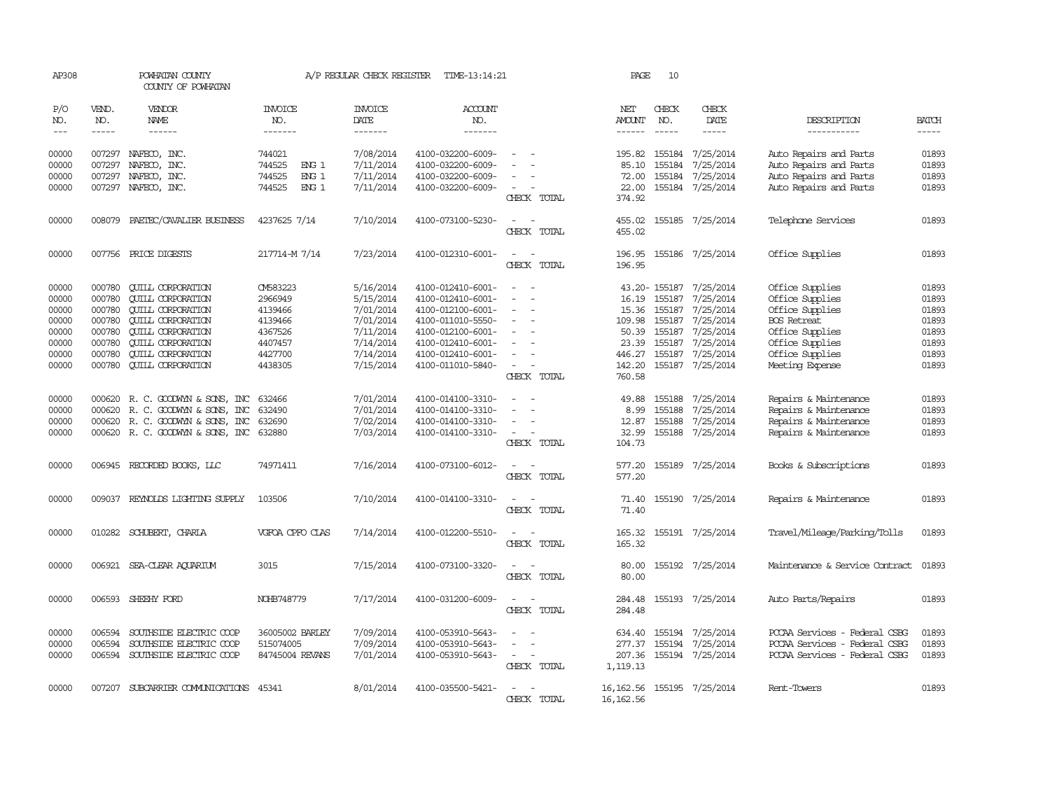| AP308                                                                |                                                                              | POWHATAN COUNTY<br>COUNTY OF POWHATAN                                                                                                                                                                                        |                                                                                                  | A/P REGULAR CHECK REGISTER                                                                           | TIME-13:14:21                                                                                                                                                        |                                                                                                                                                                               | PAGE                                                                            | 10                            |                                                                                                                                               |                                                                                                                                                         |                                                                      |
|----------------------------------------------------------------------|------------------------------------------------------------------------------|------------------------------------------------------------------------------------------------------------------------------------------------------------------------------------------------------------------------------|--------------------------------------------------------------------------------------------------|------------------------------------------------------------------------------------------------------|----------------------------------------------------------------------------------------------------------------------------------------------------------------------|-------------------------------------------------------------------------------------------------------------------------------------------------------------------------------|---------------------------------------------------------------------------------|-------------------------------|-----------------------------------------------------------------------------------------------------------------------------------------------|---------------------------------------------------------------------------------------------------------------------------------------------------------|----------------------------------------------------------------------|
| P/O<br>NO.<br>$\frac{1}{2}$                                          | VEND.<br>NO.<br>$- - - - -$                                                  | VENDOR<br>NAME<br>------                                                                                                                                                                                                     | <b>INVOICE</b><br>NO.<br>-------                                                                 | <b>INVOICE</b><br>DATE<br>-------                                                                    | <b>ACCOUNT</b><br>NO.<br>-------                                                                                                                                     |                                                                                                                                                                               | NET<br>AMOUNT<br>$- - - - - -$                                                  | CHECK<br>NO.<br>$\frac{1}{2}$ | CHECK<br>DATE<br>-----                                                                                                                        | DESCRIPTION<br>-----------                                                                                                                              | <b>BATCH</b><br>$- - - - -$                                          |
| 00000<br>00000<br>00000<br>00000                                     | 007297<br>007297<br>007297<br>007297                                         | NAFECO, INC.<br>NAFECO, INC.<br>NAFECO, INC.<br>NAFECO, INC.                                                                                                                                                                 | 744021<br>744525<br>ENG <sub>1</sub><br>ENG <sub>1</sub><br>744525<br>744525<br>ENG <sub>1</sub> | 7/08/2014<br>7/11/2014<br>7/11/2014<br>7/11/2014                                                     | 4100-032200-6009-<br>4100-032200-6009-<br>4100-032200-6009-<br>4100-032200-6009-                                                                                     | $\sim$<br>CHECK TOTAL                                                                                                                                                         | 195.82<br>85.10<br>72.00<br>22.00<br>374.92                                     | 155184<br>155184              | 7/25/2014<br>7/25/2014<br>155184 7/25/2014<br>155184 7/25/2014                                                                                | Auto Repairs and Parts<br>Auto Repairs and Parts<br>Auto Repairs and Parts<br>Auto Repairs and Parts                                                    | 01893<br>01893<br>01893<br>01893                                     |
| 00000                                                                | 008079                                                                       | PAETEC/CAVALIER BUSINESS                                                                                                                                                                                                     | 4237625 7/14                                                                                     | 7/10/2014                                                                                            | 4100-073100-5230-                                                                                                                                                    | $\sim$<br>$\overline{\phantom{a}}$<br>CHECK TOTAL                                                                                                                             | 455.02<br>455.02                                                                |                               | 155185 7/25/2014                                                                                                                              | Telephone Services                                                                                                                                      | 01893                                                                |
| 00000                                                                |                                                                              | 007756 PRICE DIGESTS                                                                                                                                                                                                         | 217714-M 7/14                                                                                    | 7/23/2014                                                                                            | 4100-012310-6001-                                                                                                                                                    | $\equiv$<br>$\overline{\phantom{a}}$<br>CHECK TOTAL                                                                                                                           | 196.95                                                                          |                               | 196.95 155186 7/25/2014                                                                                                                       | Office Supplies                                                                                                                                         | 01893                                                                |
| 00000<br>00000<br>00000<br>00000<br>00000<br>00000<br>00000<br>00000 | 000780<br>000780<br>000780<br>000780<br>000780<br>000780<br>000780<br>000780 | <b>CUILL CORPORATION</b><br><b>QUILL CORPORATION</b><br><b>CUILL CORPORATION</b><br><b>QUILL CORPORATION</b><br><b>QUILL CORPORATION</b><br><b>QUILL CORPORATION</b><br><b>CUILL CORPORATION</b><br><b>QUILL CORPORATION</b> | CM583223<br>2966949<br>4139466<br>4139466<br>4367526<br>4407457<br>4427700<br>4438305            | 5/16/2014<br>5/15/2014<br>7/01/2014<br>7/01/2014<br>7/11/2014<br>7/14/2014<br>7/14/2014<br>7/15/2014 | 4100-012410-6001-<br>4100-012410-6001-<br>4100-012100-6001-<br>4100-011010-5550-<br>4100-012100-6001-<br>4100-012410-6001-<br>4100-012410-6001-<br>4100-011010-5840- | $\equiv$<br>$\overline{\phantom{a}}$<br>$\overline{\phantom{a}}$<br>$\overline{a}$<br>$\overline{\phantom{a}}$<br>$\overline{\phantom{a}}$<br>$\sim$<br>$\sim$<br>CHECK TOTAL | 16.19<br>15.36<br>109.98<br>50.39 155187<br>23.39<br>446.27<br>142.20<br>760.58 | 155187<br>155187              | 43.20-155187 7/25/2014<br>7/25/2014<br>155187 7/25/2014<br>155187 7/25/2014<br>7/25/2014<br>7/25/2014<br>155187 7/25/2014<br>155187 7/25/2014 | Office Supplies<br>Office Supplies<br>Office Supplies<br><b>BOS</b> Retreat<br>Office Supplies<br>Office Supplies<br>Office Supplies<br>Meeting Expense | 01893<br>01893<br>01893<br>01893<br>01893<br>01893<br>01893<br>01893 |
| 00000<br>00000<br>00000<br>00000                                     | 000620                                                                       | 000620 R. C. GOODWYN & SONS, INC<br>R. C. GOODWYN & SONS, INC<br>000620 R. C. GOODWYN & SONS, INC<br>000620 R. C. GOODWYN & SONS, INC                                                                                        | 632466<br>632490<br>632690<br>632880                                                             | 7/01/2014<br>7/01/2014<br>7/02/2014<br>7/03/2014                                                     | 4100-014100-3310-<br>4100-014100-3310-<br>4100-014100-3310-<br>4100-014100-3310-                                                                                     | $\sim$<br>$\overline{\phantom{a}}$<br>$\overline{\phantom{a}}$<br>CHECK TOTAL                                                                                                 | 49.88<br>8.99<br>12.87<br>32.99<br>104.73                                       | 155188<br>155188<br>155188    | 7/25/2014<br>7/25/2014<br>7/25/2014<br>155188 7/25/2014                                                                                       | Repairs & Maintenance<br>Repairs & Maintenance<br>Repairs & Maintenance<br>Repairs & Maintenance                                                        | 01893<br>01893<br>01893<br>01893                                     |
| 00000                                                                |                                                                              | 006945 RECORDED BOOKS, LLC                                                                                                                                                                                                   | 74971411                                                                                         | 7/16/2014                                                                                            | 4100-073100-6012-                                                                                                                                                    | $\overline{\phantom{a}}$<br>CHECK TOTAL                                                                                                                                       | 577.20<br>577.20                                                                |                               | 155189 7/25/2014                                                                                                                              | Books & Subscriptions                                                                                                                                   | 01893                                                                |
| 00000                                                                |                                                                              | 009037 REYNOLDS LIGHTING SUPPLY                                                                                                                                                                                              | 103506                                                                                           | 7/10/2014                                                                                            | 4100-014100-3310-                                                                                                                                                    | CHECK TOTAL                                                                                                                                                                   | 71.40<br>71.40                                                                  |                               | 155190 7/25/2014                                                                                                                              | Repairs & Maintenance                                                                                                                                   | 01893                                                                |
| 00000                                                                |                                                                              | 010282 SCHUBERT, CHARLA                                                                                                                                                                                                      | VGFOA CPFO CLAS                                                                                  | 7/14/2014                                                                                            | 4100-012200-5510-                                                                                                                                                    | CHECK TOTAL                                                                                                                                                                   | 165.32<br>165.32                                                                |                               | 155191 7/25/2014                                                                                                                              | Travel/Mileage/Parking/Tolls                                                                                                                            | 01893                                                                |
| 00000                                                                |                                                                              | 006921 SEA-CLEAR AQUARIUM                                                                                                                                                                                                    | 3015                                                                                             | 7/15/2014                                                                                            | 4100-073100-3320-                                                                                                                                                    | CHECK TOTAL                                                                                                                                                                   | 80.00<br>80.00                                                                  |                               | 155192 7/25/2014                                                                                                                              | Maintenance & Service Contract                                                                                                                          | 01893                                                                |
| 00000                                                                | 006593                                                                       | SHEEHY FORD                                                                                                                                                                                                                  | NOHB748779                                                                                       | 7/17/2014                                                                                            | 4100-031200-6009-                                                                                                                                                    | CHECK TOTAL                                                                                                                                                                   | 284.48<br>284.48                                                                |                               | 155193 7/25/2014                                                                                                                              | Auto Parts/Repairs                                                                                                                                      | 01893                                                                |
| 00000<br>00000<br>00000                                              | 006594<br>006594                                                             | SOUTHSIDE ELECTRIC COOP<br>SOUTHSIDE ELECTRIC COOP<br>006594 SOUTHSIDE ELECTRIC COOP                                                                                                                                         | 36005002 BARLEY<br>515074005<br>84745004 REVANS                                                  | 7/09/2014<br>7/09/2014<br>7/01/2014                                                                  | 4100-053910-5643-<br>4100-053910-5643-<br>4100-053910-5643-                                                                                                          | $\sim$<br>$\overline{\phantom{a}}$<br>CHECK TOTAL                                                                                                                             | 634.40<br>277.37<br>207.36<br>1,119.13                                          | 155194                        | 7/25/2014<br>155194 7/25/2014<br>155194 7/25/2014                                                                                             | PCCAA Services - Federal CSBG<br>PCCAA Services - Federal CSBG<br>PCCAA Services - Federal CSBG                                                         | 01893<br>01893<br>01893                                              |
| 00000                                                                |                                                                              | 007207 SUBCARRIER COMUNICATIONS 45341                                                                                                                                                                                        |                                                                                                  | 8/01/2014                                                                                            | 4100-035500-5421-                                                                                                                                                    | CHECK TOTAL                                                                                                                                                                   | 16, 162, 56<br>16, 162.56                                                       |                               | 155195 7/25/2014                                                                                                                              | Rent-Towers                                                                                                                                             | 01893                                                                |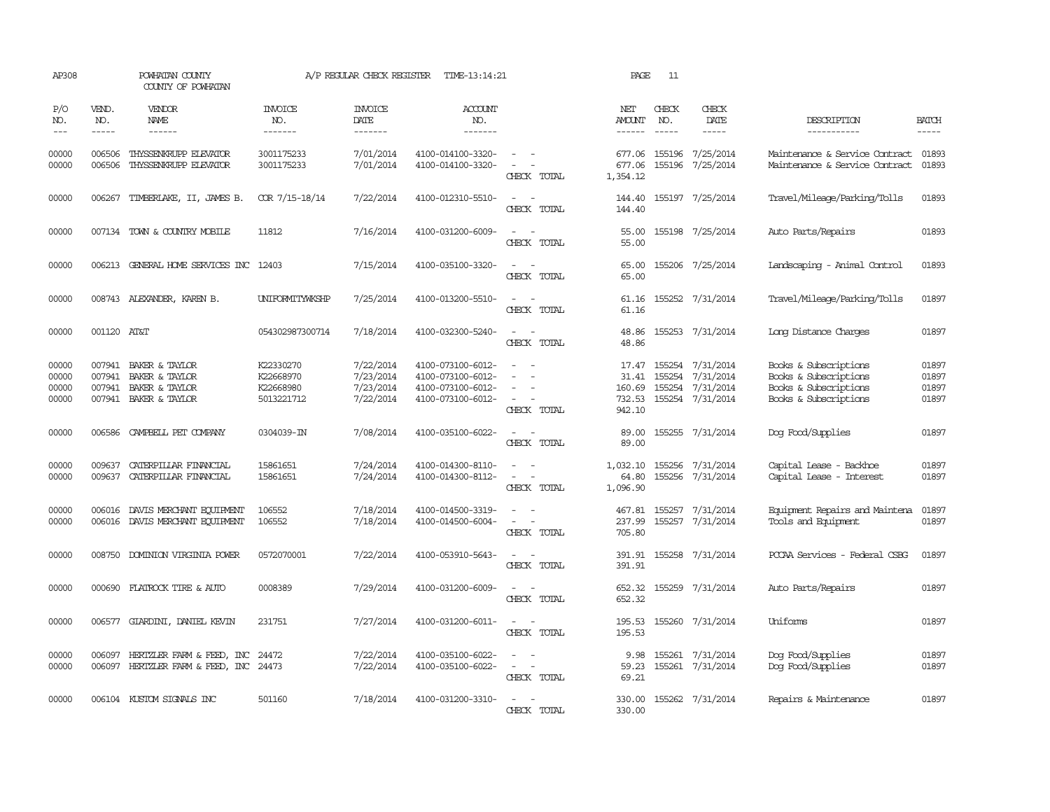| AP308                            |                             | POWHATAN COUNTY<br>COUNTY OF POWHATAN                                                            |                                                   | A/P REGULAR CHECK REGISTER                       | TIME-13:14:21                                                                    |                                                                                                                             | PAGE                               | 11                            |                                                                                     |                                                                                                  |                                  |
|----------------------------------|-----------------------------|--------------------------------------------------------------------------------------------------|---------------------------------------------------|--------------------------------------------------|----------------------------------------------------------------------------------|-----------------------------------------------------------------------------------------------------------------------------|------------------------------------|-------------------------------|-------------------------------------------------------------------------------------|--------------------------------------------------------------------------------------------------|----------------------------------|
| P/O<br>NO.<br>$\frac{1}{2}$      | VEND.<br>NO.<br>$- - - - -$ | VENDOR<br>NAME                                                                                   | <b>INVOICE</b><br>NO.<br>-------                  | <b>INVOICE</b><br>DATE<br>-------                | <b>ACCOUNT</b><br>NO.<br>$- - - - - - -$                                         |                                                                                                                             | NET<br>AMOUNT<br>------            | CHECK<br>NO.<br>$\frac{1}{2}$ | CHECK<br>DATE<br>$- - - - -$                                                        | DESCRIPTION<br>-----------                                                                       | <b>BATCH</b><br>-----            |
| 00000<br>00000                   | 006506<br>006506            | THYSSENKRUPP ELEVATOR<br>THYSSENKRUPP ELEVATOR                                                   | 3001175233<br>3001175233                          | 7/01/2014<br>7/01/2014                           | 4100-014100-3320-<br>4100-014100-3320-                                           | $\sim$ $ -$<br>$\sim$ $-$<br>CHECK TOTAL                                                                                    | 677.06<br>677.06<br>1,354.12       |                               | 155196 7/25/2014<br>155196 7/25/2014                                                | Maintenance & Service Contract 01893<br>Maintenance & Service Contract                           | 01893                            |
| 00000                            | 006267                      | TIMBERLAKE, II, JAMES B.                                                                         | COR 7/15-18/14                                    | 7/22/2014                                        | 4100-012310-5510-                                                                | $\sim$<br>$\sim$<br>CHECK TOTAL                                                                                             | 144.40<br>144.40                   |                               | 155197 7/25/2014                                                                    | Travel/Mileage/Parking/Tolls                                                                     | 01893                            |
| 00000                            |                             | 007134 TOWN & COUNTRY MOBILE                                                                     | 11812                                             | 7/16/2014                                        | 4100-031200-6009-                                                                | $\overline{\phantom{a}}$<br>CHECK TOTAL                                                                                     | 55.00<br>55.00                     |                               | 155198 7/25/2014                                                                    | Auto Parts/Repairs                                                                               | 01893                            |
| 00000                            |                             | 006213 GENERAL HOME SERVICES INC 12403                                                           |                                                   | 7/15/2014                                        | 4100-035100-3320-                                                                | $\overline{\phantom{a}}$<br>CHECK TOTAL                                                                                     | 65.00<br>65.00                     |                               | 155206 7/25/2014                                                                    | Landscaping - Animal Control                                                                     | 01893                            |
| 00000                            |                             | 008743 ALEXANDER, KAREN B.                                                                       | UNIFORMITYWKSHP                                   | 7/25/2014                                        | 4100-013200-5510-                                                                | $\sim$ 10 $\sim$ 10 $\sim$<br>CHECK TOTAL                                                                                   | 61.16<br>61.16                     |                               | 155252 7/31/2014                                                                    | Travel/Mileage/Parking/Tolls                                                                     | 01897                            |
| 00000                            | 001120 AT&T                 |                                                                                                  | 054302987300714                                   | 7/18/2014                                        | 4100-032300-5240-                                                                | $\sim$ $\sim$<br>CHECK TOTAL                                                                                                | 48.86<br>48.86                     |                               | 155253 7/31/2014                                                                    | Long Distance Charges                                                                            | 01897                            |
| 00000<br>00000<br>00000<br>00000 |                             | 007941 BAKER & TAYLOR<br>007941 BAKER & TAYLOR<br>007941 BAKER & TAYLOR<br>007941 BAKER & TAYLOR | K22330270<br>K22668970<br>K22668980<br>5013221712 | 7/22/2014<br>7/23/2014<br>7/23/2014<br>7/22/2014 | 4100-073100-6012-<br>4100-073100-6012-<br>4100-073100-6012-<br>4100-073100-6012- | $\overline{\phantom{a}}$<br>CHECK TOTAL                                                                                     | 17.47<br>31.41<br>160.69<br>942.10 |                               | 155254 7/31/2014<br>155254 7/31/2014<br>155254 7/31/2014<br>732.53 155254 7/31/2014 | Books & Subscriptions<br>Books & Subscriptions<br>Books & Subscriptions<br>Books & Subscriptions | 01897<br>01897<br>01897<br>01897 |
| 00000                            | 006586                      | CAMPBELL PET COMPANY                                                                             | 0304039-IN                                        | 7/08/2014                                        | 4100-035100-6022-                                                                | $\sim$<br>CHECK TOTAL                                                                                                       | 89.00<br>89.00                     |                               | 155255 7/31/2014                                                                    | Dog Food/Supplies                                                                                | 01897                            |
| 00000<br>00000                   | 009637                      | CATERPILLAR FINANCIAL<br>009637 CATERPILLAR FINANCIAL                                            | 15861651<br>15861651                              | 7/24/2014<br>7/24/2014                           | 4100-014300-8110-<br>4100-014300-8112-                                           | $\overline{\phantom{a}}$<br>$\omega_{\rm{max}}$ and $\omega_{\rm{max}}$<br>CHECK TOTAL                                      | 1,032.10<br>64.80<br>1,096.90      |                               | 155256 7/31/2014<br>155256 7/31/2014                                                | Capital Lease - Backhoe<br>Capital Lease - Interest                                              | 01897<br>01897                   |
| 00000<br>00000                   | 006016                      | DAVIS MERCHANT EQUIPMENT<br>006016 DAVIS MERCHANT EQUIPMENT                                      | 106552<br>106552                                  | 7/18/2014<br>7/18/2014                           | 4100-014500-3319-<br>4100-014500-6004-                                           | $\sim$<br>$\overline{\phantom{a}}$<br>CHECK TOTAL                                                                           | 467.81<br>237.99<br>705.80         |                               | 155257 7/31/2014<br>155257 7/31/2014                                                | Equipment Repairs and Maintena<br>Tools and Equipment                                            | 01897<br>01897                   |
| 00000                            | 008750                      | DOMINION VIRGINIA POWER                                                                          | 0572070001                                        | 7/22/2014                                        | 4100-053910-5643-                                                                | $\frac{1}{2} \left( \frac{1}{2} \right) \left( \frac{1}{2} \right) = \frac{1}{2} \left( \frac{1}{2} \right)$<br>CHECK TOTAL | 391.91<br>391.91                   |                               | 155258 7/31/2014                                                                    | PCCAA Services - Federal CSBG                                                                    | 01897                            |
| 00000                            |                             | 000690 FLATROCK TIRE & AUTO                                                                      | 0008389                                           | 7/29/2014                                        | 4100-031200-6009-                                                                | CHECK TOTAL                                                                                                                 | 652.32<br>652.32                   |                               | 155259 7/31/2014                                                                    | Auto Parts/Repairs                                                                               | 01897                            |
| 00000                            |                             | 006577 GIARDINI, DANIEL KEVIN                                                                    | 231751                                            | 7/27/2014                                        | 4100-031200-6011-                                                                | $\sim$ 100 $\sim$<br>CHECK TOTAL                                                                                            | 195.53<br>195.53                   |                               | 155260 7/31/2014                                                                    | Uniforms                                                                                         | 01897                            |
| 00000<br>00000                   | 006097                      | HERTZLER FARM & FEED, INC 24472<br>006097 HERTZLER FARM & FEED, INC 24473                        |                                                   | 7/22/2014<br>7/22/2014                           | 4100-035100-6022-<br>4100-035100-6022-                                           | $\frac{1}{2} \left( \frac{1}{2} \right) \left( \frac{1}{2} \right) = \frac{1}{2} \left( \frac{1}{2} \right)$<br>CHECK TOTAL | 9.98<br>59.23<br>69.21             |                               | 155261 7/31/2014<br>155261 7/31/2014                                                | Dog Food/Supplies<br>Dog Food/Supplies                                                           | 01897<br>01897                   |
| 00000                            |                             | 006104 KUSTOM SIGNALS INC                                                                        | 501160                                            | 7/18/2014                                        | 4100-031200-3310-                                                                | $\frac{1}{2} \left( \frac{1}{2} \right) \left( \frac{1}{2} \right) = \frac{1}{2} \left( \frac{1}{2} \right)$<br>CHECK TOTAL | 330.00<br>330.00                   |                               | 155262 7/31/2014                                                                    | Repairs & Maintenance                                                                            | 01897                            |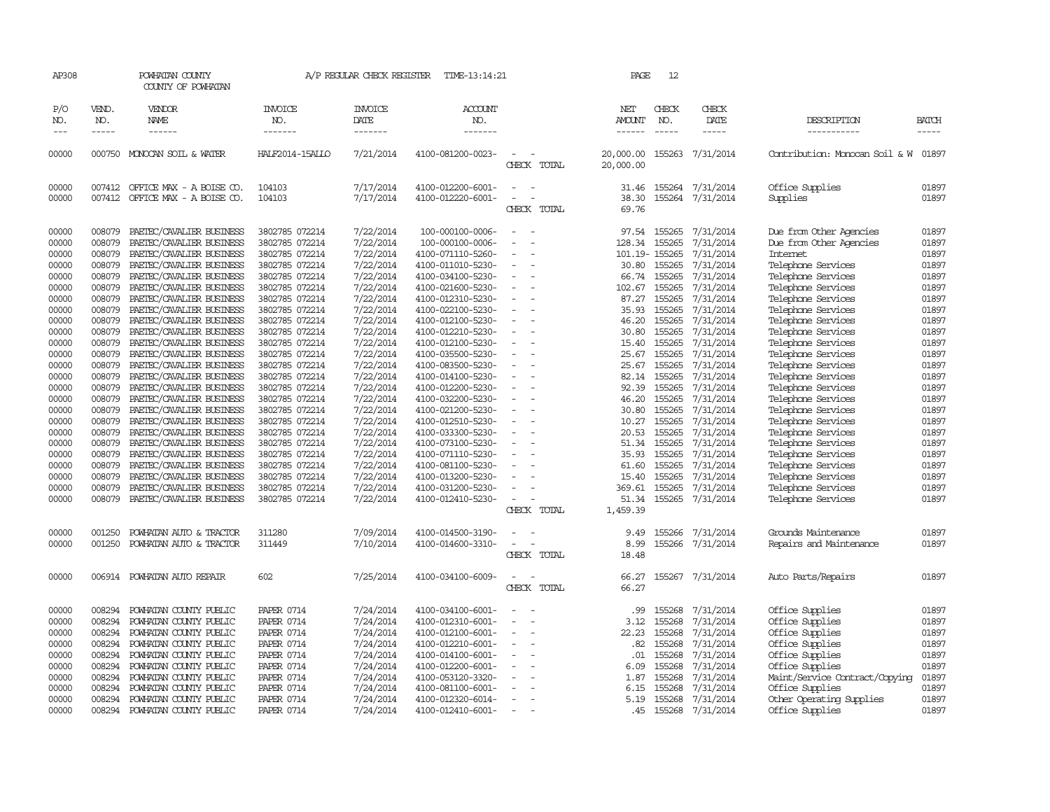| AP308<br>POWHATAN COUNTY<br>COUNTY OF POWHATAN                                                                                                                                                                                               |                                                                                                                                                                                                                                                                                                                                                                                                                                                                                                                                                                                                                                                                                              | A/P REGULAR CHECK REGISTER<br>TIME-13:14:21                                                                                                                                                                                                                                                                                                                                                                                                  |                                                                                                                                                                                                                                                                                                                      |                                                                                                                                                                                                                                                                                                                                                                                                                                                                                                                    | 12<br>PAGE                                                                 |                                                                                                                                                                                                                                 |                                                                                                                                                                                                                                    |                                                                                                                                                                                                                                                                                                                      |                                                                                                                                                                                                                                                                                                                                                                                                                                                                                                                                                     |                                                                                                                                                                                                                      |
|----------------------------------------------------------------------------------------------------------------------------------------------------------------------------------------------------------------------------------------------|----------------------------------------------------------------------------------------------------------------------------------------------------------------------------------------------------------------------------------------------------------------------------------------------------------------------------------------------------------------------------------------------------------------------------------------------------------------------------------------------------------------------------------------------------------------------------------------------------------------------------------------------------------------------------------------------|----------------------------------------------------------------------------------------------------------------------------------------------------------------------------------------------------------------------------------------------------------------------------------------------------------------------------------------------------------------------------------------------------------------------------------------------|----------------------------------------------------------------------------------------------------------------------------------------------------------------------------------------------------------------------------------------------------------------------------------------------------------------------|--------------------------------------------------------------------------------------------------------------------------------------------------------------------------------------------------------------------------------------------------------------------------------------------------------------------------------------------------------------------------------------------------------------------------------------------------------------------------------------------------------------------|----------------------------------------------------------------------------|---------------------------------------------------------------------------------------------------------------------------------------------------------------------------------------------------------------------------------|------------------------------------------------------------------------------------------------------------------------------------------------------------------------------------------------------------------------------------|----------------------------------------------------------------------------------------------------------------------------------------------------------------------------------------------------------------------------------------------------------------------------------------------------------------------|-----------------------------------------------------------------------------------------------------------------------------------------------------------------------------------------------------------------------------------------------------------------------------------------------------------------------------------------------------------------------------------------------------------------------------------------------------------------------------------------------------------------------------------------------------|----------------------------------------------------------------------------------------------------------------------------------------------------------------------------------------------------------------------|
| VEND.<br>NO.<br>NAME                                                                                                                                                                                                                         | VENDOR                                                                                                                                                                                                                                                                                                                                                                                                                                                                                                                                                                                                                                                                                       | INVOICE<br>NO.                                                                                                                                                                                                                                                                                                                                                                                                                               | <b>INVOICE</b><br>DATE                                                                                                                                                                                                                                                                                               | ACCOUNT<br>NO.                                                                                                                                                                                                                                                                                                                                                                                                                                                                                                     |                                                                            | NET<br>AMOUNT                                                                                                                                                                                                                   | CHECK<br>NO.                                                                                                                                                                                                                       | CHECK<br>DATE                                                                                                                                                                                                                                                                                                        | DESCRIPTION                                                                                                                                                                                                                                                                                                                                                                                                                                                                                                                                         | <b>BATCH</b>                                                                                                                                                                                                         |
| $- - - - -$                                                                                                                                                                                                                                  | $- - - - - -$                                                                                                                                                                                                                                                                                                                                                                                                                                                                                                                                                                                                                                                                                | -------                                                                                                                                                                                                                                                                                                                                                                                                                                      | -------                                                                                                                                                                                                                                                                                                              | -------                                                                                                                                                                                                                                                                                                                                                                                                                                                                                                            |                                                                            |                                                                                                                                                                                                                                 | -----                                                                                                                                                                                                                              | -----                                                                                                                                                                                                                                                                                                                | -----------                                                                                                                                                                                                                                                                                                                                                                                                                                                                                                                                         | $- - - - -$                                                                                                                                                                                                          |
| 000750 MONOCAN SOIL & WATER                                                                                                                                                                                                                  |                                                                                                                                                                                                                                                                                                                                                                                                                                                                                                                                                                                                                                                                                              | HALF2014-15ALLO                                                                                                                                                                                                                                                                                                                                                                                                                              | 7/21/2014                                                                                                                                                                                                                                                                                                            | 4100-081200-0023-                                                                                                                                                                                                                                                                                                                                                                                                                                                                                                  | CHECK TOTAL                                                                | 20,000.00<br>20,000.00                                                                                                                                                                                                          |                                                                                                                                                                                                                                    | 155263 7/31/2014                                                                                                                                                                                                                                                                                                     | Contribution: Monocan Soil & W 01897                                                                                                                                                                                                                                                                                                                                                                                                                                                                                                                |                                                                                                                                                                                                                      |
| 007412                                                                                                                                                                                                                                       | 007412 OFFICE MAX - A BOISE CO.<br>OFFICE MAX - A BOISE CO.                                                                                                                                                                                                                                                                                                                                                                                                                                                                                                                                                                                                                                  | 104103<br>104103                                                                                                                                                                                                                                                                                                                                                                                                                             | 7/17/2014<br>7/17/2014                                                                                                                                                                                                                                                                                               | 4100-012200-6001-<br>4100-012220-6001-                                                                                                                                                                                                                                                                                                                                                                                                                                                                             | CHECK TOTAL                                                                | 31.46<br>38.30<br>69.76                                                                                                                                                                                                         | 155264                                                                                                                                                                                                                             | 155264 7/31/2014<br>7/31/2014                                                                                                                                                                                                                                                                                        | Office Supplies<br>Supplies                                                                                                                                                                                                                                                                                                                                                                                                                                                                                                                         | 01897<br>01897                                                                                                                                                                                                       |
| 008079<br>008079<br>008079<br>008079<br>008079<br>008079<br>008079<br>008079<br>008079<br>008079<br>008079<br>008079<br>008079<br>008079<br>008079<br>008079<br>008079<br>008079<br>008079<br>008079<br>008079<br>008079<br>008079<br>008079 | PAETEC/CAVALIER BUSINESS<br>PAETEC/CAVALIER BUSINESS<br>PAETEC/CAVALIER BUSINESS<br>PAETEC/CAVALIER BUSINESS<br>PAETEC/CAVALIER BUSINESS<br>PAETEC/CAVALIER BUSINESS<br>PAETEC/CAVALIER BUSINESS<br>PAETEC/CAVALIER BUSINESS<br>PAETEC/CAVALIER BUSINESS<br>PAETEC/CAVALIER BUSINESS<br>PAETEC/CAVALIER BUSINESS<br>PAETEC/CAVALIER BUSINESS<br>PAETEC/CAVALIER BUSINESS<br>PAETEC/CAVALIER BUSINESS<br>PAETEC/CAVALIER BUSINESS<br>PAETEC/CAVALIER BUSINESS<br>PAETEC/CAVALIER BUSINESS<br>PAETEC/CAVALIER BUSINESS<br>PAETEC/CAVALIER BUSINESS<br>PAETEC/CAVALIER BUSINESS<br>PAETEC/CAVALIER BUSINESS<br>PAETEC/CAVALIER BUSINESS<br>PAETEC/CAVALIER BUSINESS<br>PAETEC/CAVALIER BUSINESS | 3802785 072214<br>3802785 072214<br>3802785 072214<br>3802785 072214<br>3802785 072214<br>3802785 072214<br>3802785 072214<br>3802785 072214<br>3802785 072214<br>3802785 072214<br>3802785 072214<br>3802785 072214<br>3802785 072214<br>3802785 072214<br>3802785 072214<br>3802785 072214<br>3802785 072214<br>3802785 072214<br>3802785 072214<br>3802785 072214<br>3802785 072214<br>3802785 072214<br>3802785 072214<br>3802785 072214 | 7/22/2014<br>7/22/2014<br>7/22/2014<br>7/22/2014<br>7/22/2014<br>7/22/2014<br>7/22/2014<br>7/22/2014<br>7/22/2014<br>7/22/2014<br>7/22/2014<br>7/22/2014<br>7/22/2014<br>7/22/2014<br>7/22/2014<br>7/22/2014<br>7/22/2014<br>7/22/2014<br>7/22/2014<br>7/22/2014<br>7/22/2014<br>7/22/2014<br>7/22/2014<br>7/22/2014 | 100-000100-0006-<br>100-000100-0006-<br>4100-071110-5260-<br>4100-011010-5230-<br>4100-034100-5230-<br>4100-021600-5230-<br>4100-012310-5230-<br>4100-022100-5230-<br>4100-012100-5230-<br>4100-012210-5230-<br>4100-012100-5230-<br>4100-035500-5230-<br>4100-083500-5230-<br>4100-014100-5230-<br>4100-012200-5230-<br>4100-032200-5230-<br>4100-021200-5230-<br>4100-012510-5230-<br>4100-033300-5230-<br>4100-073100-5230-<br>4100-071110-5230-<br>4100-081100-5230-<br>4100-013200-5230-<br>4100-031200-5230- | $\sim$<br>$\sim$<br>$\equiv$<br>$\equiv$<br>$\equiv$<br>$\equiv$<br>$\sim$ | 97.54<br>128.34<br>101.19-155265<br>30.80<br>66.74<br>102.67<br>87.27<br>35.93<br>46.20<br>30.80<br>15.40<br>25.67<br>25.67<br>82.14<br>92.39<br>46.20<br>30.80<br>10.27<br>20.53<br>51.34<br>35.93<br>61.60<br>15.40<br>369.61 | 155265<br>155265<br>155265<br>155265<br>155265<br>155265<br>155265<br>155265<br>155265<br>155265<br>155265<br>155265<br>155265<br>155265<br>155265<br>155265<br>155265<br>155265<br>155265<br>155265<br>155265<br>155265<br>155265 | 7/31/2014<br>7/31/2014<br>7/31/2014<br>7/31/2014<br>7/31/2014<br>7/31/2014<br>7/31/2014<br>7/31/2014<br>7/31/2014<br>7/31/2014<br>7/31/2014<br>7/31/2014<br>7/31/2014<br>7/31/2014<br>7/31/2014<br>7/31/2014<br>7/31/2014<br>7/31/2014<br>7/31/2014<br>7/31/2014<br>7/31/2014<br>7/31/2014<br>7/31/2014<br>7/31/2014 | Due from Other Agencies<br>Due from Other Agencies<br><b>Internet</b><br>Telephone Services<br>Telephone Services<br>Telephone Services<br>Telephone Services<br>Telephone Services<br>Telephone Services<br>Telephone Services<br>Telephone Services<br>Telephone Services<br>Telephone Services<br>Telephone Services<br>Telephone Services<br>Telephone Services<br>Telephone Services<br>Telephone Services<br>Telephone Services<br>Telephone Services<br>Telephone Services<br>Telephone Services<br>Telephone Services<br>Telephone Services | 01897<br>01897<br>01897<br>01897<br>01897<br>01897<br>01897<br>01897<br>01897<br>01897<br>01897<br>01897<br>01897<br>01897<br>01897<br>01897<br>01897<br>01897<br>01897<br>01897<br>01897<br>01897<br>01897<br>01897 |
| 008079                                                                                                                                                                                                                                       | PAETEC/CAVALIER BUSINESS                                                                                                                                                                                                                                                                                                                                                                                                                                                                                                                                                                                                                                                                     | 3802785 072214                                                                                                                                                                                                                                                                                                                                                                                                                               | 7/22/2014                                                                                                                                                                                                                                                                                                            | 4100-012410-5230-                                                                                                                                                                                                                                                                                                                                                                                                                                                                                                  | $\overline{\phantom{a}}$<br>CHECK TOTAL                                    | 51.34<br>1,459.39                                                                                                                                                                                                               |                                                                                                                                                                                                                                    | 155265 7/31/2014                                                                                                                                                                                                                                                                                                     | Telephone Services                                                                                                                                                                                                                                                                                                                                                                                                                                                                                                                                  | 01897                                                                                                                                                                                                                |
| 001250<br>001250                                                                                                                                                                                                                             | POWHATAN AUTO & TRACTOR                                                                                                                                                                                                                                                                                                                                                                                                                                                                                                                                                                                                                                                                      | 311280<br>311449                                                                                                                                                                                                                                                                                                                                                                                                                             | 7/09/2014<br>7/10/2014                                                                                                                                                                                                                                                                                               | 4100-014500-3190-<br>4100-014600-3310-                                                                                                                                                                                                                                                                                                                                                                                                                                                                             | CHECK TOTAL                                                                | 9.49<br>8.99<br>18.48                                                                                                                                                                                                           | 155266                                                                                                                                                                                                                             | 7/31/2014                                                                                                                                                                                                                                                                                                            | Grounds Maintenance<br>Repairs and Maintenance                                                                                                                                                                                                                                                                                                                                                                                                                                                                                                      | 01897<br>01897                                                                                                                                                                                                       |
| 006914                                                                                                                                                                                                                                       |                                                                                                                                                                                                                                                                                                                                                                                                                                                                                                                                                                                                                                                                                              | 602                                                                                                                                                                                                                                                                                                                                                                                                                                          | 7/25/2014                                                                                                                                                                                                                                                                                                            | 4100-034100-6009-                                                                                                                                                                                                                                                                                                                                                                                                                                                                                                  | CHECK TOTAL                                                                | 66.27<br>66.27                                                                                                                                                                                                                  |                                                                                                                                                                                                                                    |                                                                                                                                                                                                                                                                                                                      | Auto Parts/Repairs                                                                                                                                                                                                                                                                                                                                                                                                                                                                                                                                  | 01897                                                                                                                                                                                                                |
| 008294<br>008294<br>008294<br>008294<br>008294<br>008294<br>008294<br>008294<br>008294                                                                                                                                                       |                                                                                                                                                                                                                                                                                                                                                                                                                                                                                                                                                                                                                                                                                              | <b>PAPER 0714</b><br><b>PAPER 0714</b><br><b>PAPER 0714</b><br><b>PAPER 0714</b><br><b>PAPER 0714</b><br><b>PAPER 0714</b><br><b>PAPER 0714</b><br><b>PAPER 0714</b><br><b>PAPER 0714</b>                                                                                                                                                                                                                                                    | 7/24/2014<br>7/24/2014<br>7/24/2014<br>7/24/2014<br>7/24/2014<br>7/24/2014<br>7/24/2014<br>7/24/2014                                                                                                                                                                                                                 | 4100-034100-6001-<br>4100-012310-6001-<br>4100-012100-6001-<br>4100-012210-6001-<br>4100-014100-6001-<br>4100-012200-6001-<br>4100-053120-3320-<br>4100-081100-6001-<br>4100-012320-6014-                                                                                                                                                                                                                                                                                                                          | $\equiv$                                                                   | .99<br>3.12<br>22.23<br>.82<br>.01<br>6.09<br>1.87<br>6.15<br>5.19                                                                                                                                                              | 155268<br>155268<br>155268<br>155268<br>155268<br>155268<br>155268<br>155268<br>155268                                                                                                                                             | 7/31/2014<br>7/31/2014<br>7/31/2014<br>7/31/2014<br>7/31/2014<br>7/31/2014<br>7/31/2014<br>7/31/2014                                                                                                                                                                                                                 | Office Supplies<br>Office Supplies<br>Office Supplies<br>Office Supplies<br>Office Supplies<br>Office Supplies<br>Maint/Service Contract/Copying<br>Office Supplies                                                                                                                                                                                                                                                                                                                                                                                 | 01897<br>01897<br>01897<br>01897<br>01897<br>01897<br>01897<br>01897<br>01897                                                                                                                                        |
|                                                                                                                                                                                                                                              |                                                                                                                                                                                                                                                                                                                                                                                                                                                                                                                                                                                                                                                                                              | POWHATAN AUTO & TRACTOR<br>POWHATAN AUTO REPAIR<br>POWHATAN COUNTY PUBLIC<br>POWHATAN COUNTY PUBLIC<br>POWHATAN COUNTY PUBLIC<br>POWHATAN COUNTY PUBLIC<br>POWHATAN COUNTY PUBLIC<br>POWHATAN COUNTY PUBLIC<br>POWHATAN COUNTY PUBLIC<br>POWHATAN COUNTY PUBLIC<br>POWHATAN COUNTY PUBLIC<br>008294 POWHATAN COUNTY PUBLIC                                                                                                                   | <b>PAPER 0714</b>                                                                                                                                                                                                                                                                                                    | 7/24/2014<br>7/24/2014                                                                                                                                                                                                                                                                                                                                                                                                                                                                                             | 4100-012410-6001-                                                          | $\overline{\phantom{a}}$                                                                                                                                                                                                        | .45                                                                                                                                                                                                                                |                                                                                                                                                                                                                                                                                                                      | 155266 7/31/2014<br>155267 7/31/2014<br>7/31/2014<br>155268 7/31/2014                                                                                                                                                                                                                                                                                                                                                                                                                                                                               | Other Operating Supplies<br>Office Supplies                                                                                                                                                                          |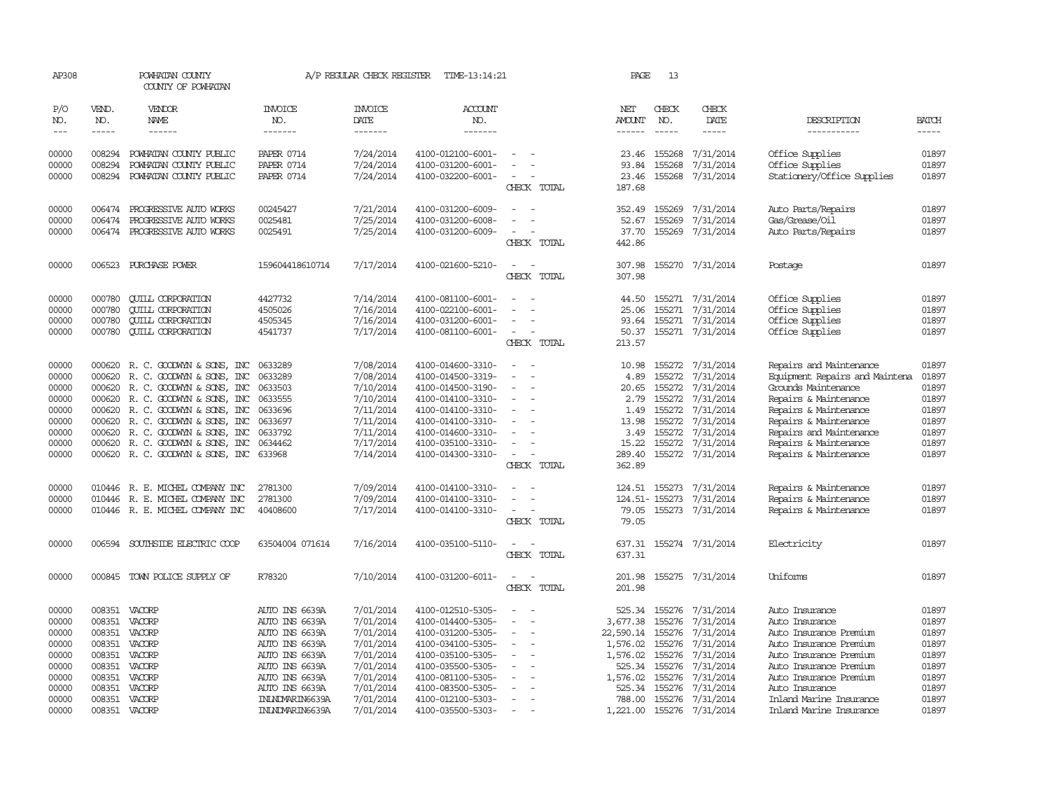| AP308          |                  | POWHATAN COUNTY<br>COUNTY OF POWHATAN                                |                                   | A/P REGULAR CHECK REGISTER    | TIME-13:14:21                          |                                         | PAGE             | 13               |                               |                                                  |                |
|----------------|------------------|----------------------------------------------------------------------|-----------------------------------|-------------------------------|----------------------------------------|-----------------------------------------|------------------|------------------|-------------------------------|--------------------------------------------------|----------------|
| P/O<br>NO.     | VEND.<br>NO.     | VENDOR<br><b>NAME</b>                                                | <b>INVOICE</b><br>NO.             | <b>INVOICE</b><br><b>DATE</b> | <b>ACCOUNT</b><br>NO.                  |                                         | NET<br>AMOUNT    | CHECK<br>NO.     | CHECK<br><b>DATE</b>          | DESCRIPTION                                      | <b>BATCH</b>   |
| $\frac{1}{2}$  | $- - - - -$      | ------                                                               | -------                           | -------                       | -------                                |                                         | $- - - - - -$    | $- - - - -$      | -----                         | -----------                                      | $- - - - -$    |
| 00000          | 008294           | POWHATAN COUNTY PUBLIC                                               | <b>PAPER 0714</b>                 | 7/24/2014                     | 4100-012100-6001-                      |                                         | 23.46            | 155268           | 7/31/2014                     | Office Supplies                                  | 01897          |
| 00000<br>00000 | 008294<br>008294 | POWHATAN COUNTY PUBLIC                                               | <b>PAPER 0714</b>                 | 7/24/2014<br>7/24/2014        | 4100-031200-6001-                      |                                         | 93.84            | 155268           | 7/31/2014<br>155268 7/31/2014 | Office Supplies                                  | 01897<br>01897 |
|                |                  | POWHATAN COUNTY PUBLIC                                               | <b>PAPER 0714</b>                 |                               | 4100-032200-6001-                      | CHECK TOTAL                             | 23.46<br>187.68  |                  |                               | Stationery/Office Supplies                       |                |
| 00000          | 006474           | PROGRESSIVE AUTO WORKS                                               | 00245427                          | 7/21/2014                     | 4100-031200-6009-                      |                                         | 352.49           | 155269           | 7/31/2014                     | Auto Parts/Repairs                               | 01897          |
| 00000          | 006474           | PROGRESSIVE AUTO WORKS                                               | 0025481                           | 7/25/2014                     | 4100-031200-6008-                      |                                         | 52.67            | 155269           | 7/31/2014                     | Gas/Grease/Oil                                   | 01897          |
| 00000          | 006474           | PROGRESSIVE AUTO WORKS                                               | 0025491                           | 7/25/2014                     | 4100-031200-6009-                      | $\overline{\phantom{a}}$<br>CHECK TOTAL | 37.70<br>442.86  | 155269           | 7/31/2014                     | Auto Parts/Repairs                               | 01897          |
| 00000          | 006523           | PURCHASE POWER                                                       | 159604418610714                   | 7/17/2014                     | 4100-021600-5210-                      | CHECK TOTAL                             | 307.98<br>307.98 |                  | 155270 7/31/2014              | Postage                                          | 01897          |
| 00000          | 000780           | <b>CUILL CORPORATION</b>                                             | 4427732                           | 7/14/2014                     | 4100-081100-6001-                      |                                         | 44.50            |                  | 155271 7/31/2014              | Office Supplies                                  | 01897          |
| 00000          | 000780           | <b>QUILL CORPORATION</b>                                             | 4505026                           | 7/16/2014                     | 4100-022100-6001-                      | $\sim$                                  | 25.06            |                  | 155271 7/31/2014              | Office Supplies                                  | 01897          |
| 00000          | 000780           | <b>QUILL CORPORATION</b>                                             | 4505345                           | 7/16/2014                     | 4100-031200-6001-                      |                                         | 93.64            |                  | 155271 7/31/2014              | Office Supplies                                  | 01897          |
| 00000          | 000780           | <b>CUILL CORPORATION</b>                                             | 4541737                           | 7/17/2014                     | 4100-081100-6001-                      | CHECK TOTAL                             | 50.37<br>213.57  |                  | 155271 7/31/2014              | Office Supplies                                  | 01897          |
| 00000          | 000620           | R. C. GOODWYN & SONS, INC                                            | 0633289                           | 7/08/2014                     | 4100-014600-3310-                      |                                         | 10.98            |                  | 155272 7/31/2014              | Repairs and Maintenance                          | 01897          |
| 00000          | 000620           | R. C. GOODWYN & SONS, INC                                            | 0633289                           | 7/08/2014                     | 4100-014500-3319-                      | $\overline{\phantom{a}}$<br>$\sim$      | 4.89             | 155272           | 7/31/2014                     | Equipment Repairs and Maintena                   | 01897          |
| 00000          | 000620           | R. C. GOODWYN & SONS, INC                                            | 0633503                           | 7/10/2014                     | 4100-014500-3190-                      |                                         | 20.65            | 155272           | 7/31/2014                     | Grounds Maintenance                              | 01897          |
| 00000          |                  | 000620 R. C. GOODWYN & SONS, INC                                     | 0633555                           | 7/10/2014                     | 4100-014100-3310-                      |                                         | 2.79             | 155272           | 7/31/2014                     | Repairs & Maintenance                            | 01897          |
| 00000          | 000620           | R. C. GOODWYN & SONS, INC                                            | 0633696                           | 7/11/2014                     | 4100-014100-3310-                      | $\equiv$                                | 1.49             | 155272           | 7/31/2014                     | Repairs & Maintenance                            | 01897          |
| 00000          | 000620           | R. C. GOODWYN & SONS, INC                                            | 0633697                           | 7/11/2014                     | 4100-014100-3310-                      | $\equiv$                                | 13.98            | 155272           | 7/31/2014                     | Repairs & Maintenance                            | 01897          |
| 00000<br>00000 |                  | 000620 R. C. GOODWYN & SONS, INC<br>000620 R. C. GOODWYN & SONS, INC | 0633792<br>0634462                | 7/11/2014<br>7/17/2014        | 4100-014600-3310-<br>4100-035100-3310- |                                         | 3.49<br>15.22    | 155272           | 7/31/2014<br>155272 7/31/2014 | Repairs and Maintenance<br>Repairs & Maintenance | 01897<br>01897 |
| 00000          |                  | 000620 R. C. GOODWYN & SONS, INC 633968                              |                                   | 7/14/2014                     | 4100-014300-3310-                      | $\overline{\phantom{a}}$                | 289.40           |                  | 155272 7/31/2014              | Repairs & Maintenance                            | 01897          |
|                |                  |                                                                      |                                   |                               |                                        | CHECK TOTAL                             | 362.89           |                  |                               |                                                  |                |
| 00000          | 010446           | R. E. MICHEL COMPANY INC                                             | 2781300                           | 7/09/2014                     | 4100-014100-3310-                      |                                         | 124.51           | 155273           | 7/31/2014                     | Repairs & Maintenance                            | 01897          |
| 00000          | 010446           | R. E. MICHEL COMPANY INC                                             | 2781300                           | 7/09/2014                     | 4100-014100-3310-                      |                                         |                  | 124.51-155273    | 7/31/2014                     | Repairs & Maintenance                            | 01897          |
| 00000          |                  | 010446 R. E. MICHEL COMPANY INC                                      | 40408600                          | 7/17/2014                     | 4100-014100-3310-                      | $\sim$<br>CHECK TOTAL                   | 79.05            |                  | 79.05 155273 7/31/2014        | Repairs & Maintenance                            | 01897          |
| 00000          | 006594           | SOUTHSIDE ELECTRIC COOP                                              | 63504004 071614                   | 7/16/2014                     | 4100-035100-5110-                      | CHECK TOTAL                             | 637.31<br>637.31 |                  | 155274 7/31/2014              | Electricity                                      | 01897          |
| 00000          |                  | 000845 TOWN POLICE SUPPLY OF                                         | R78320                            | 7/10/2014                     | 4100-031200-6011-                      | $\sim$<br>$\sim$<br>CHECK TOTAL         | 201.98<br>201.98 |                  | 155275 7/31/2014              | Uniforms                                         | 01897          |
| 00000          |                  | 008351 VACORP                                                        | AUTO INS 6639A                    | 7/01/2014                     | 4100-012510-5305-                      |                                         | 525.34           | 155276           | 7/31/2014                     | Auto Insurance                                   | 01897          |
| 00000          | 008351           | VACORP                                                               | AUTO INS 6639A                    | 7/01/2014                     | 4100-014400-5305-                      |                                         | 3,677.38         | 155276           | 7/31/2014                     | Auto Insurance                                   | 01897          |
| 00000          | 008351           | VACORP                                                               | AUTO INS 6639A                    | 7/01/2014                     | 4100-031200-5305-                      |                                         | 22,590.14        | 155276           | 7/31/2014                     | Auto Insurance Premium                           | 01897          |
| 00000          | 008351           | VACORP                                                               | AUTO INS 6639A                    | 7/01/2014                     | 4100-034100-5305-                      | $\sim$                                  | 1,576.02         | 155276           | 7/31/2014                     | Auto Insurance Premium                           | 01897          |
| 00000          | 008351           | VACORP                                                               | AUTO INS 6639A                    | 7/01/2014                     | 4100-035100-5305-                      | $\overline{\phantom{a}}$                | 1,576.02         | 155276           | 7/31/2014                     | Auto Insurance Premium                           | 01897          |
| 00000          | 008351           | VACORP                                                               | AUTO INS 6639A                    | 7/01/2014                     | 4100-035500-5305-                      |                                         | 525.34           | 155276           | 7/31/2014                     | Auto Insurance Premium                           | 01897          |
| 00000          | 008351           | VACORP                                                               | AUTO INS 6639A                    | 7/01/2014                     | 4100-081100-5305-                      | $\equiv$                                | 1,576.02         | 155276           | 7/31/2014                     | Auto Insurance Premium                           | 01897          |
| 00000<br>00000 | 008351<br>008351 | VACORP<br>VACORP                                                     | AUTO INS 6639A<br>ININDWARING639A | 7/01/2014<br>7/01/2014        | 4100-083500-5305-<br>4100-012100-5303- | $\overline{\phantom{a}}$                | 525.34<br>788.00 | 155276<br>155276 | 7/31/2014<br>7/31/2014        | Auto Insurance<br>Inland Marine Insurance        | 01897<br>01897 |
| 00000          |                  | 008351 VACORP                                                        | ININDWARIN6639A                   | 7/01/2014                     | 4100-035500-5303-                      |                                         | 1,221.00         |                  | 155276 7/31/2014              | Inland Marine Insurance                          | 01897          |
|                |                  |                                                                      |                                   |                               |                                        |                                         |                  |                  |                               |                                                  |                |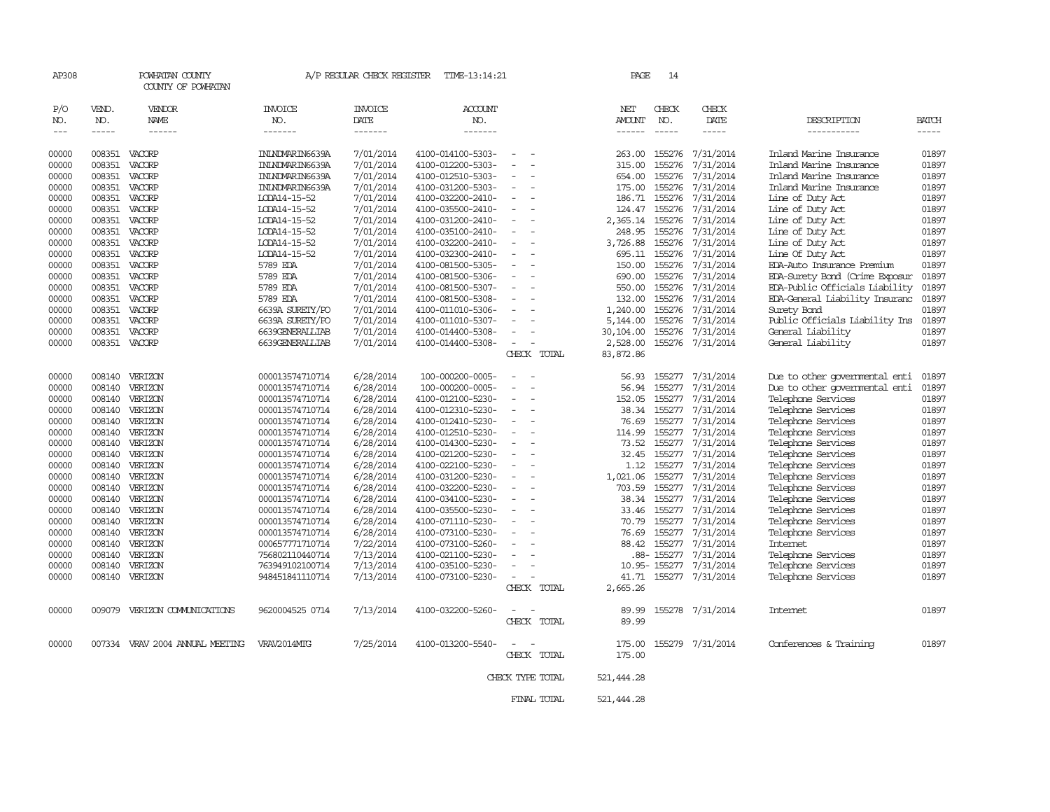| AP308          |                  | POWHATAN COUNTY<br>COUNTY OF POWHATAN |                                    | A/P REGULAR CHECK REGISTER | TIME-13:14:21                          |                  | PAGE                  | 14           |                                                |                                          |                |
|----------------|------------------|---------------------------------------|------------------------------------|----------------------------|----------------------------------------|------------------|-----------------------|--------------|------------------------------------------------|------------------------------------------|----------------|
| P/O<br>NO.     | VEND.<br>NO.     | VENDOR<br>NAME                        | <b>INVOICE</b><br>NO.              | <b>INVOICE</b><br>DATE     | <b>ACCOUNT</b><br>NO.                  |                  | NET<br>AMOUNT         | CHECK<br>NO. | CHECK<br>DATE                                  | DESCRIPTION                              | <b>BATCH</b>   |
| $- - -$        | $- - - - -$      | ------                                | -------                            | $- - - - - - -$            | -------                                |                  | $- - - - - -$         | $- - - - -$  | -----                                          | -----------                              | $- - - - -$    |
| 00000          | 008351           | VACORP                                | ININDWARING639A                    | 7/01/2014                  | 4100-014100-5303-                      |                  | 263.00                | 155276       | 7/31/2014                                      | Inland Marine Insurance                  | 01897          |
| 00000          | 008351           | VACORP                                | ININDWARING639A                    | 7/01/2014                  | 4100-012200-5303-                      |                  | 315.00                | 155276       | 7/31/2014                                      | Inland Marine Insurance                  | 01897          |
| 00000          | 008351           | VACORP                                | ININDWARIN6639A                    | 7/01/2014                  | 4100-012510-5303-                      |                  | 654.00                | 155276       | 7/31/2014                                      | Inland Marine Insurance                  | 01897          |
| 00000          | 008351           | VACORP                                | ININDWARIN6639A                    | 7/01/2014                  | 4100-031200-5303-                      | $\sim$           | 175.00                | 155276       | 7/31/2014                                      | Inland Marine Insurance                  | 01897          |
| 00000          | 008351           | VACORP                                | LCDA14-15-52                       | 7/01/2014                  | 4100-032200-2410-                      |                  | 186.71                | 155276       | 7/31/2014                                      | Line of Duty Act                         | 01897          |
| 00000          | 008351           | VACORP                                | LODA14-15-52                       | 7/01/2014                  | 4100-035500-2410-                      |                  | 124.47                | 155276       | 7/31/2014                                      | Line of Duty Act                         | 01897          |
| 00000          | 008351 VACORP    |                                       | LODA14-15-52                       | 7/01/2014                  | 4100-031200-2410-                      |                  | 2,365.14              | 155276       | 7/31/2014                                      | Line of Duty Act                         | 01897          |
| 00000          | 008351           | VACORP                                | LODA14-15-52                       | 7/01/2014                  | 4100-035100-2410-                      |                  | 248.95                | 155276       | 7/31/2014                                      | Line of Duty Act                         | 01897          |
| 00000          | 008351           | VACORP                                | LCDA14-15-52                       | 7/01/2014                  | 4100-032200-2410-                      |                  | 3,726.88              | 155276       | 7/31/2014                                      | Line of Duty Act                         | 01897          |
| 00000          | 008351           | VACORP                                | LODA14-15-52                       | 7/01/2014                  | 4100-032300-2410-                      |                  | 695.11                | 155276       | 7/31/2014                                      | Line Of Duty Act                         | 01897          |
| 00000          | 008351           | VACORP                                | 5789 EDA                           | 7/01/2014                  | 4100-081500-5305-                      |                  | 150.00                | 155276       | 7/31/2014                                      | EDA-Auto Insurance Premium               | 01897          |
| 00000          | 008351           | VACORP                                | 5789 EDA                           | 7/01/2014                  | 4100-081500-5306-                      |                  | 690.00                | 155276       | 7/31/2014                                      | EDA-Surety Bond (Crime Exposur           | 01897          |
| 00000          | 008351           | VACORP                                | 5789 EDA                           | 7/01/2014                  | 4100-081500-5307-                      |                  | 550.00                | 155276       | 7/31/2014                                      | EDA-Public Officials Liability           | 01897          |
| 00000          | 008351           | VACORP                                | 5789 EDA                           | 7/01/2014                  | 4100-081500-5308-                      | $\equiv$         | 132.00                | 155276       | 7/31/2014                                      | EDA-General Liability Insuranc           | 01897          |
| 00000          | 008351           | VACORP                                | 6639A SURETY/PO                    | 7/01/2014                  | 4100-011010-5306-                      |                  | 1,240.00              | 155276       | 7/31/2014                                      | Surety Band                              | 01897          |
| 00000          | 008351           | VACORP                                | 6639A SURETY/PO                    | 7/01/2014                  | 4100-011010-5307-                      |                  | 5,144.00              | 155276       | 7/31/2014                                      | Public Officials Liability Ins           | 01897          |
| 00000          | 008351           | VACORP                                | 6639GENERALLIAB                    | 7/01/2014                  | 4100-014400-5308-                      |                  | 30,104.00             |              | 155276 7/31/2014                               | General Liability                        | 01897          |
| 00000          | 008351           | VACORP                                | 6639GENERALLIAB                    | 7/01/2014                  | 4100-014400-5308-                      | CHECK TOTAL      | 2,528.00<br>83,872.86 |              | 155276 7/31/2014                               | General Liability                        | 01897          |
|                |                  |                                       |                                    |                            |                                        |                  |                       |              |                                                |                                          |                |
| 00000          | 008140           | VERIZON                               | 000013574710714                    | 6/28/2014                  | 100-000200-0005-                       |                  | 56.93                 | 155277       | 7/31/2014                                      | Due to other opvernmental enti           | 01897          |
| 00000          | 008140           | VERIZON                               | 000013574710714                    | 6/28/2014                  | 100-000200-0005-                       |                  | 56.94                 | 155277       | 7/31/2014                                      | Due to other opvernmental enti           | 01897          |
| 00000          | 008140           | VERIZON                               | 000013574710714                    | 6/28/2014                  | 4100-012100-5230-                      |                  | 152.05                |              | 155277 7/31/2014                               | Telephone Services                       | 01897          |
| 00000          |                  | 008140 VERIZON                        | 000013574710714                    | 6/28/2014                  | 4100-012310-5230-                      | $\equiv$         | 38.34                 |              | 155277 7/31/2014                               | Telephone Services                       | 01897          |
| 00000          | 008140           | VERIZON                               | 000013574710714                    | 6/28/2014                  | 4100-012410-5230-                      |                  | 76.69                 | 155277       | 7/31/2014                                      | Telephone Services                       | 01897          |
| 00000          | 008140           | VERIZON                               | 000013574710714                    | 6/28/2014                  | 4100-012510-5230-                      |                  | 114.99                | 155277       | 7/31/2014                                      | Telephone Services                       | 01897          |
| 00000          | 008140           | VERIZON                               | 000013574710714                    | 6/28/2014                  | 4100-014300-5230-                      |                  | 73.52                 |              | 155277 7/31/2014                               | Telephone Services                       | 01897          |
| 00000          | 008140           | VERIZON                               | 000013574710714                    | 6/28/2014                  | 4100-021200-5230-                      |                  | 32.45                 |              | 155277 7/31/2014                               | Telephone Services                       | 01897          |
| 00000          | 008140           | VERIZON                               | 000013574710714                    | 6/28/2014                  | 4100-022100-5230-                      |                  | 1.12                  | 155277       | 7/31/2014                                      | Telephone Services                       | 01897          |
| 00000          | 008140           | VERIZON                               | 000013574710714                    | 6/28/2014                  | 4100-031200-5230-                      |                  | 1,021.06              |              | 155277 7/31/2014                               | Telephone Services                       | 01897          |
| 00000          |                  | 008140 VERIZON                        | 000013574710714                    | 6/28/2014                  | 4100-032200-5230-                      | $\sim$           | 703.59                |              | 155277 7/31/2014                               | Telephone Services                       | 01897          |
| 00000          | 008140           | VERIZON                               | 000013574710714                    | 6/28/2014                  | 4100-034100-5230-                      |                  | 38.34                 | 155277       | 7/31/2014                                      | Telephone Services                       | 01897          |
| 00000          | 008140           | VERIZON                               | 000013574710714                    | 6/28/2014                  | 4100-035500-5230-                      |                  | 33.46                 |              | 155277 7/31/2014                               | Telephone Services                       | 01897          |
| 00000          |                  | 008140 VERIZON                        | 000013574710714                    | 6/28/2014                  | 4100-071110-5230-                      |                  | 70.79                 |              | 155277 7/31/2014                               | Telephone Services                       | 01897          |
| 00000          | 008140           | VERIZON                               | 000013574710714                    | 6/28/2014                  | 4100-073100-5230-                      |                  | 76.69                 | 155277       | 7/31/2014                                      | Telephone Services                       | 01897          |
| 00000          | 008140           | VERIZON                               | 000657771710714                    | 7/22/2014                  | 4100-073100-5260-                      |                  | 88.42                 | 155277       | 7/31/2014                                      | Internet                                 | 01897          |
| 00000<br>00000 | 008140<br>008140 | VERIZON<br>VERIZON                    | 756802110440714                    | 7/13/2014<br>7/13/2014     | 4100-021100-5230-                      |                  |                       |              | .88-155277 7/31/2014<br>10.95-155277 7/31/2014 | Telephone Services                       | 01897<br>01897 |
| 00000          | 008140           | VERIZON                               | 763949102100714<br>948451841110714 | 7/13/2014                  | 4100-035100-5230-<br>4100-073100-5230- |                  | 41.71                 |              | 155277 7/31/2014                               | Telephone Services<br>Telephone Services | 01897          |
|                |                  |                                       |                                    |                            |                                        | CHECK TOTAL      | 2,665.26              |              |                                                |                                          |                |
|                |                  |                                       |                                    |                            |                                        |                  |                       |              |                                                |                                          |                |
| 00000          | 009079           | VERIZON COMMUNICATIONS                | 9620004525 0714                    | 7/13/2014                  | 4100-032200-5260-                      |                  | 89.99                 |              | 155278 7/31/2014                               | Internet                                 | 01897          |
|                |                  |                                       |                                    |                            |                                        | CHECK TOTAL      | 89.99                 |              |                                                |                                          |                |
| 00000          |                  | 007334 VRAV 2004 ANNUAL MEETING       | VRAV2014MTG                        | 7/25/2014                  | 4100-013200-5540-                      |                  | 175.00                |              | 155279 7/31/2014                               | Conferences & Training                   | 01897          |
|                |                  |                                       |                                    |                            |                                        | CHECK TOTAL      | 175.00                |              |                                                |                                          |                |
|                |                  |                                       |                                    |                            |                                        |                  |                       |              |                                                |                                          |                |
|                |                  |                                       |                                    |                            |                                        | CHECK TYPE TOTAL | 521, 444.28           |              |                                                |                                          |                |
|                |                  |                                       |                                    |                            |                                        | FINAL TOTAL      | 521, 444.28           |              |                                                |                                          |                |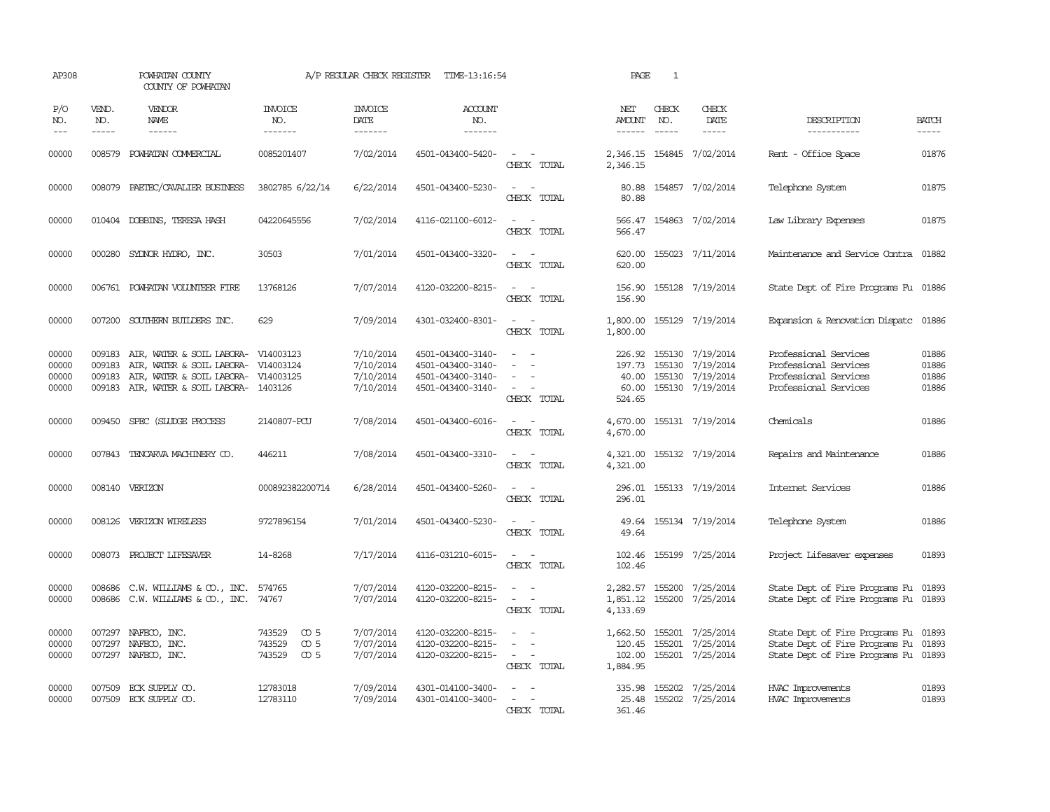| AP308                            |                             | POWHATAN COUNTY<br>COUNTY OF POWHATAN                                                                                           |                                                                      | A/P REGULAR CHECK REGISTER                       | TIME-13:16:54                                                                    |                                                                                                                                                                                     | PAGE                                     | 1                             |                                                                                    |                                                                                                                |                                  |
|----------------------------------|-----------------------------|---------------------------------------------------------------------------------------------------------------------------------|----------------------------------------------------------------------|--------------------------------------------------|----------------------------------------------------------------------------------|-------------------------------------------------------------------------------------------------------------------------------------------------------------------------------------|------------------------------------------|-------------------------------|------------------------------------------------------------------------------------|----------------------------------------------------------------------------------------------------------------|----------------------------------|
| P/O<br>NO.<br>$\frac{1}{2}$      | VEND.<br>NO.<br>$- - - - -$ | VENDOR<br>NAME<br>$- - - - - -$                                                                                                 | INVOICE<br>NO.<br>-------                                            | <b>INVOICE</b><br>DATE<br>-------                | ACCOUNT<br>NO.<br>-------                                                        |                                                                                                                                                                                     | NET<br>AMOUNT<br>$- - - - - -$           | CHECK<br>NO.<br>$\frac{1}{2}$ | CHECK<br>DATE                                                                      | DESCRIPTION<br>-----------                                                                                     | <b>BATCH</b><br>-----            |
| 00000                            | 008579                      | POWHATAN COMMERCIAL                                                                                                             | 0085201407                                                           | 7/02/2014                                        | 4501-043400-5420-                                                                | $\frac{1}{2} \left( \frac{1}{2} \right) \left( \frac{1}{2} \right) = \frac{1}{2} \left( \frac{1}{2} \right)$<br>CHECK TOTAL                                                         | 2,346.15<br>2,346.15                     |                               | 154845 7/02/2014                                                                   | Rent - Office Space                                                                                            | 01876                            |
| 00000                            | 008079                      | PAETEC/CAVALIER BUSINESS                                                                                                        | 3802785 6/22/14                                                      | 6/22/2014                                        | 4501-043400-5230-                                                                | $\equiv$<br>$\sim$<br>CHECK TOTAL                                                                                                                                                   | 80.88<br>80.88                           |                               | 154857 7/02/2014                                                                   | Telephone System                                                                                               | 01875                            |
| 00000                            |                             | 010404 DOBBINS, TERESA HASH                                                                                                     | 04220645556                                                          | 7/02/2014                                        | 4116-021100-6012-                                                                | $ -$<br>CHECK TOTAL                                                                                                                                                                 | 566.47<br>566.47                         |                               | 154863 7/02/2014                                                                   | Law Library Expenses                                                                                           | 01875                            |
| 00000                            | 000280                      | SYDNOR HYDRO, INC.                                                                                                              | 30503                                                                | 7/01/2014                                        | 4501-043400-3320-                                                                | $\sim$ $ -$<br>CHECK TOTAL                                                                                                                                                          | 620.00<br>620.00                         |                               | 155023 7/11/2014                                                                   | Maintenance and Service Contra 01882                                                                           |                                  |
| 00000                            |                             | 006761 POWHATAN VOLUNTEER FIRE                                                                                                  | 13768126                                                             | 7/07/2014                                        | 4120-032200-8215-                                                                | $\sim$<br>CHECK TOTAL                                                                                                                                                               | 156.90<br>156.90                         |                               | 155128 7/19/2014                                                                   | State Dept of Fire Programs Fu 01886                                                                           |                                  |
| 00000                            | 007200                      | SOUTHERN BUILDERS INC.                                                                                                          | 629                                                                  | 7/09/2014                                        | 4301-032400-8301-                                                                | $\overline{\phantom{a}}$<br>$\sim$<br>CHECK TOTAL                                                                                                                                   | 1,800.00<br>1,800.00                     |                               | 155129 7/19/2014                                                                   | Expansion & Renovation Dispatc                                                                                 | 01886                            |
| 00000<br>00000<br>00000<br>00000 | 009183<br>009183<br>009183  | AIR, WATER & SOIL LABORA-<br>AIR, WATER & SOIL LABORA-<br>AIR, WATER & SOIL LABORA-<br>009183 AIR, WATER & SOIL LABORA- 1403126 | V14003123<br>V14003124<br>V14003125                                  | 7/10/2014<br>7/10/2014<br>7/10/2014<br>7/10/2014 | 4501-043400-3140-<br>4501-043400-3140-<br>4501-043400-3140-<br>4501-043400-3140- | $\equiv$<br>$\equiv$<br>$\sim$<br>CHECK TOTAL                                                                                                                                       | 226.92<br>197.73<br>40.00<br>524.65      |                               | 155130 7/19/2014<br>155130 7/19/2014<br>155130 7/19/2014<br>60.00 155130 7/19/2014 | Professional Services<br>Professional Services<br>Professional Services<br>Professional Services               | 01886<br>01886<br>01886<br>01886 |
| 00000                            | 009450                      | SPEC (SLUDGE PROCESS                                                                                                            | 2140807-PCU                                                          | 7/08/2014                                        | 4501-043400-6016-                                                                | $\frac{1}{2} \left( \frac{1}{2} \right) \left( \frac{1}{2} \right) = \frac{1}{2} \left( \frac{1}{2} \right)$<br>CHECK TOTAL                                                         | 4,670.00<br>4,670.00                     |                               | 155131 7/19/2014                                                                   | Chemicals                                                                                                      | 01886                            |
| 00000                            | 007843                      | TENCARVA MACHINERY CO.                                                                                                          | 446211                                                               | 7/08/2014                                        | 4501-043400-3310-                                                                | CHECK TOTAL                                                                                                                                                                         | 4,321.00<br>4,321.00                     |                               | 155132 7/19/2014                                                                   | Repairs and Maintenance                                                                                        | 01886                            |
| 00000                            |                             | 008140 VERIZON                                                                                                                  | 000892382200714                                                      | 6/28/2014                                        | 4501-043400-5260-                                                                | CHECK TOTAL                                                                                                                                                                         | 296.01                                   |                               | 296.01 155133 7/19/2014                                                            | Internet Services                                                                                              | 01886                            |
| 00000                            | 008126                      | VERIZON WIRELESS                                                                                                                | 9727896154                                                           | 7/01/2014                                        | 4501-043400-5230-                                                                | $\overline{\phantom{a}}$<br>CHECK TOTAL                                                                                                                                             | 49.64<br>49.64                           |                               | 155134 7/19/2014                                                                   | Telephone System                                                                                               | 01886                            |
| 00000                            |                             | 008073 PROJECT LIFESAVER                                                                                                        | 14-8268                                                              | 7/17/2014                                        | 4116-031210-6015-                                                                | $\sim$<br>CHECK TOTAL                                                                                                                                                               | 102.46<br>102.46                         |                               | 155199 7/25/2014                                                                   | Project Lifesaver expenses                                                                                     | 01893                            |
| 00000<br>00000                   | 008686                      | C.W. WILLIAMS & CO., INC.<br>008686 C.W. WILLIAMS & CO., INC.                                                                   | 574765<br>74767                                                      | 7/07/2014<br>7/07/2014                           | 4120-032200-8215-<br>4120-032200-8215-                                           | $\frac{1}{2} \left( \frac{1}{2} \right) \left( \frac{1}{2} \right) = \frac{1}{2} \left( \frac{1}{2} \right)$<br>$\overline{\phantom{a}}$<br>$\overline{\phantom{a}}$<br>CHECK TOTAL | 1,851.12<br>4,133.69                     |                               | 2,282.57 155200 7/25/2014<br>155200 7/25/2014                                      | State Dept of Fire Programs Fu 01893<br>State Dept of Fire Programs Fu 01893                                   |                                  |
| 00000<br>00000<br>00000          | 007297<br>007297            | NAFECO, INC.<br>NAFECO, INC.<br>007297 NAFECO, INC.                                                                             | 743529<br>$\infty$ 5<br>$\infty$ 5<br>743529<br>743529<br>$\infty$ 5 | 7/07/2014<br>7/07/2014<br>7/07/2014              | 4120-032200-8215-<br>4120-032200-8215-<br>4120-032200-8215-                      | $\overline{\phantom{a}}$<br>$\overline{\phantom{a}}$<br>$\sim$ 100 $\sim$<br>CHECK TOTAL                                                                                            | 1,662.50<br>120.45<br>102.00<br>1,884.95 | 155201                        | 155201 7/25/2014<br>7/25/2014<br>155201 7/25/2014                                  | State Dept of Fire Programs Fu 01893<br>State Dept of Fire Programs Fu<br>State Dept of Fire Programs Fu 01893 | 01893                            |
| 00000<br>00000                   | 007509                      | ECK SUPPLY CO.<br>007509 ECK SUPPLY CO.                                                                                         | 12783018<br>12783110                                                 | 7/09/2014<br>7/09/2014                           | 4301-014100-3400-<br>4301-014100-3400-                                           | $\overline{\phantom{a}}$<br>CHECK TOTAL                                                                                                                                             | 25.48<br>361.46                          |                               | 335.98 155202 7/25/2014<br>155202 7/25/2014                                        | <b>HVAC Improvements</b><br><b>HVAC Improvements</b>                                                           | 01893<br>01893                   |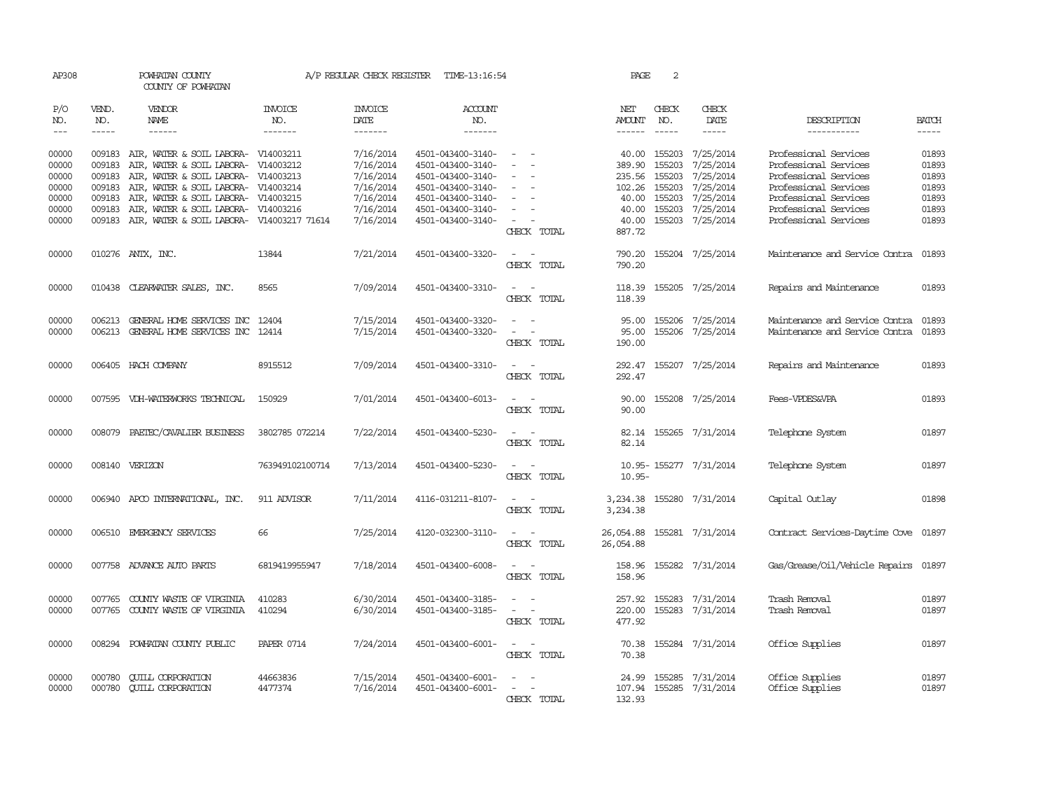| AP308      |              | POWHATAN COUNTY<br>COUNTY OF POWHATAN            |                       | A/P REGULAR CHECK REGISTER | TIME-13:16:54         |                                    | PAGE                       | 2            |                           |                                |               |
|------------|--------------|--------------------------------------------------|-----------------------|----------------------------|-----------------------|------------------------------------|----------------------------|--------------|---------------------------|--------------------------------|---------------|
| P/O<br>NO. | VEND.<br>NO. | <b>VENDOR</b><br>NAME                            | <b>INVOICE</b><br>NO. | <b>INVOICE</b><br>DATE     | <b>ACCOUNT</b><br>NO. |                                    | NET<br>AMOUNT              | CHECK<br>NO. | CHECK<br>DATE             | DESCRIPTION                    | <b>BATCH</b>  |
| $---$      | $- - - - -$  | $- - - - - -$                                    | -------               | -------                    | -------               |                                    | $- - - - - -$              | $- - - - -$  | $- - - - -$               | -----------                    | $\frac{1}{2}$ |
|            |              |                                                  |                       |                            |                       |                                    |                            |              |                           |                                |               |
| 00000      |              | 009183 AIR, WATER & SOIL LABORA- V14003211       |                       | 7/16/2014                  | 4501-043400-3140-     |                                    | 40.00                      | 155203       | 7/25/2014                 | Professional Services          | 01893         |
| 00000      | 009183       | AIR, WATER & SOIL LABORA-                        | V14003212             | 7/16/2014                  | 4501-043400-3140-     |                                    | 389.90                     | 155203       | 7/25/2014                 | Professional Services          | 01893         |
| 00000      | 009183       | AIR, WATER & SOIL LABORA-                        | V14003213             | 7/16/2014                  | 4501-043400-3140-     | $\equiv$                           | 235.56                     | 155203       | 7/25/2014                 | Professional Services          | 01893         |
| 00000      | 009183       | AIR, WATER & SOIL LABORA- V14003214              |                       | 7/16/2014                  | 4501-043400-3140-     | $\sim$                             | 102.26                     | 155203       | 7/25/2014                 | Professional Services          | 01893         |
| 00000      | 009183       | AIR, WATER & SOIL LABORA- V14003215              |                       | 7/16/2014                  | 4501-043400-3140-     |                                    | 40.00                      | 155203       | 7/25/2014                 | Professional Services          | 01893         |
| 00000      | 009183       | AIR, WATER & SOIL LABORA- V14003216              |                       | 7/16/2014                  | 4501-043400-3140-     |                                    | 40.00                      | 155203       | 7/25/2014                 | Professional Services          | 01893         |
| 00000      |              | 009183 AIR, WATER & SOIL LABORA- V14003217 71614 |                       | 7/16/2014                  | 4501-043400-3140-     | $\sim$                             | 40.00                      | 155203       | 7/25/2014                 | Professional Services          | 01893         |
|            |              |                                                  |                       |                            |                       | CHECK TOTAL                        | 887.72                     |              |                           |                                |               |
| 00000      |              | 010276 ANTX, INC.                                | 13844                 | 7/21/2014                  | 4501-043400-3320-     | $\sim$<br>$\sim$                   |                            |              | 790.20 155204 7/25/2014   | Maintenance and Service Contra | 01893         |
|            |              |                                                  |                       |                            |                       | CHECK TOTAL                        | 790.20                     |              |                           |                                |               |
|            |              |                                                  |                       |                            |                       |                                    |                            |              |                           |                                |               |
| 00000      |              | 010438 CLEARWATER SALES, INC.                    | 8565                  | 7/09/2014                  | 4501-043400-3310-     | $\sim$<br>$\sim$                   | 118.39                     |              | 155205 7/25/2014          | Repairs and Maintenance        | 01893         |
|            |              |                                                  |                       |                            |                       | CHECK TOTAL                        | 118.39                     |              |                           |                                |               |
| 00000      |              | 006213 GENERAL HOME SERVICES INC                 | 12404                 | 7/15/2014                  | 4501-043400-3320-     | $\sim$<br>$\sim$                   | 95.00                      |              | 155206 7/25/2014          | Maintenance and Service Contra | 01893         |
| 00000      |              | 006213 GENERAL HOME SERVICES INC                 | 12414                 | 7/15/2014                  | 4501-043400-3320-     | $\sim$<br>$\overline{\phantom{a}}$ | 95.00                      | 155206       | 7/25/2014                 | Maintenance and Service Contra | 01893         |
|            |              |                                                  |                       |                            |                       | CHECK TOTAL                        | 190.00                     |              |                           |                                |               |
|            |              |                                                  |                       |                            |                       |                                    |                            |              |                           |                                |               |
| 00000      |              | 006405 HACH COMPANY                              | 8915512               | 7/09/2014                  | 4501-043400-3310-     | $\sim$<br>$\sim$                   |                            |              | 292.47 155207 7/25/2014   | Repairs and Maintenance        | 01893         |
|            |              |                                                  |                       |                            |                       | CHECK TOTAL                        | 292.47                     |              |                           |                                |               |
|            |              |                                                  |                       |                            |                       |                                    |                            |              |                           |                                |               |
| 00000      |              | 007595 VDH-WATERWORKS TECHNICAL                  | 150929                | 7/01/2014                  | 4501-043400-6013-     | $\sim$                             | 90.00                      |              | 155208 7/25/2014          | Fees-VPDES&VPA                 | 01893         |
|            |              |                                                  |                       |                            |                       | CHECK TOTAL                        | 90.00                      |              |                           |                                |               |
| 00000      | 008079       | PAETEC/CAVALIER BUSINESS                         | 3802785 072214        | 7/22/2014                  | 4501-043400-5230-     | $\sim$<br>$\sim$                   | 82.14                      |              | 155265 7/31/2014          | Telephone System               | 01897         |
|            |              |                                                  |                       |                            |                       | CHECK TOTAL                        | 82.14                      |              |                           |                                |               |
|            |              |                                                  |                       |                            |                       |                                    |                            |              |                           |                                |               |
| 00000      |              | 008140 VERIZON                                   | 763949102100714       | 7/13/2014                  | 4501-043400-5230-     | $\sim$ $ -$                        |                            |              | 10.95-155277 7/31/2014    | Telephone System               | 01897         |
|            |              |                                                  |                       |                            |                       | CHECK TOTAL                        | $10.95 -$                  |              |                           |                                |               |
|            |              |                                                  |                       |                            |                       |                                    |                            |              |                           |                                |               |
| 00000      |              | 006940 APCO INTERNATIONAL, INC.                  | 911 ADVISOR           | 7/11/2014                  | 4116-031211-8107-     | CHECK TOTAL                        |                            |              | 3,234.38 155280 7/31/2014 | Capital Outlay                 | 01898         |
|            |              |                                                  |                       |                            |                       |                                    | 3,234.38                   |              |                           |                                |               |
| 00000      |              | 006510 EMERGENCY SERVICES                        | 66                    | 7/25/2014                  | 4120-032300-3110-     | $\sim$ $ -$                        | 26,054.88 155281 7/31/2014 |              |                           | Contract Services-Daytime Cove | 01897         |
|            |              |                                                  |                       |                            |                       | CHECK TOTAL                        | 26,054.88                  |              |                           |                                |               |
|            |              |                                                  |                       |                            |                       |                                    |                            |              |                           |                                |               |
| 00000      |              | 007758 ADVANCE AUTO PARTS                        | 6819419955947         | 7/18/2014                  | 4501-043400-6008-     | $\overline{a}$                     |                            |              | 158.96 155282 7/31/2014   | Gas/Grease/Oil/Vehicle Repairs | 01897         |
|            |              |                                                  |                       |                            |                       | CHECK TOTAL                        | 158.96                     |              |                           |                                |               |
|            |              |                                                  |                       |                            |                       |                                    |                            |              |                           |                                |               |
| 00000      | 007765       | COUNTY WASTE OF VIRGINIA                         | 410283                | 6/30/2014                  | 4501-043400-3185-     | $\sim$ 10 $\sim$ 10 $\sim$         | 257.92                     | 155283       | 7/31/2014                 | Trash Removal                  | 01897         |
| 00000      |              | 007765 COUNTY WASTE OF VIRGINIA                  | 410294                | 6/30/2014                  | 4501-043400-3185-     | CHECK TOTAL                        | 220.00<br>477.92           |              | 155283 7/31/2014          | Trash Removal                  | 01897         |
|            |              |                                                  |                       |                            |                       |                                    |                            |              |                           |                                |               |
| 00000      |              | 008294 POWHATAN COUNTY PUBLIC                    | <b>PAPER 0714</b>     | 7/24/2014                  | 4501-043400-6001-     | $\sim$ 100 $\sim$                  |                            |              | 70.38 155284 7/31/2014    | Office Supplies                | 01897         |
|            |              |                                                  |                       |                            |                       | CHECK TOTAL                        | 70.38                      |              |                           |                                |               |
|            |              |                                                  |                       |                            |                       |                                    |                            |              |                           |                                |               |
| 00000      | 000780       | <b>CUILL CORPORATION</b>                         | 44663836              | 7/15/2014                  | 4501-043400-6001-     |                                    | 24.99                      | 155285       | 7/31/2014                 | Office Supplies                | 01897         |
| 00000      |              | 000780 CUILL CORPORATION                         | 4477374               | 7/16/2014                  | 4501-043400-6001-     | $\overline{\phantom{a}}$           |                            |              | 107.94 155285 7/31/2014   | Office Supplies                | 01897         |
|            |              |                                                  |                       |                            |                       | CHECK TOTAL                        | 132.93                     |              |                           |                                |               |
|            |              |                                                  |                       |                            |                       |                                    |                            |              |                           |                                |               |